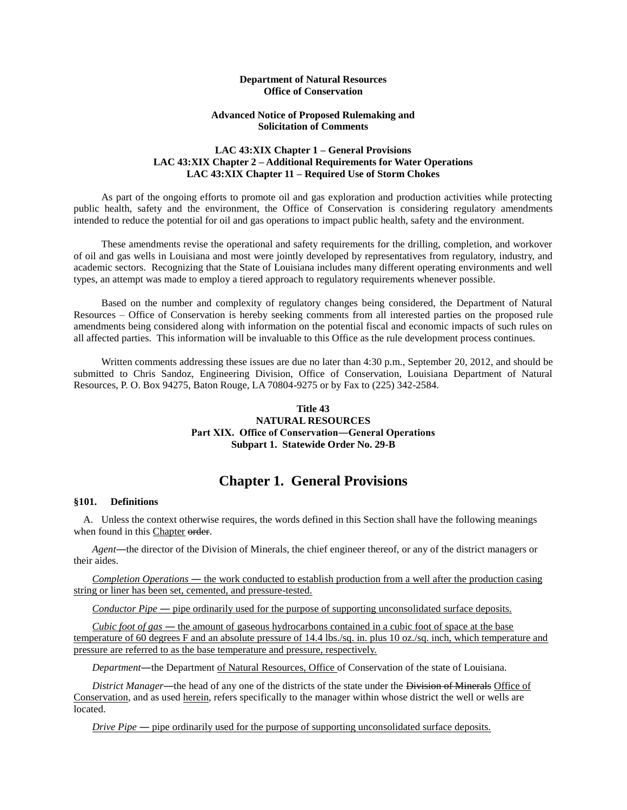### **Department of Natural Resources Office of Conservation**

### **Advanced Notice of Proposed Rulemaking and Solicitation of Comments**

### **LAC 43:XIX Chapter 1 – General Provisions LAC 43:XIX Chapter 2 – Additional Requirements for Water Operations LAC 43:XIX Chapter 11 – Required Use of Storm Chokes**

As part of the ongoing efforts to promote oil and gas exploration and production activities while protecting public health, safety and the environment, the Office of Conservation is considering regulatory amendments intended to reduce the potential for oil and gas operations to impact public health, safety and the environment.

These amendments revise the operational and safety requirements for the drilling, completion, and workover of oil and gas wells in Louisiana and most were jointly developed by representatives from regulatory, industry, and academic sectors. Recognizing that the State of Louisiana includes many different operating environments and well types, an attempt was made to employ a tiered approach to regulatory requirements whenever possible.

Based on the number and complexity of regulatory changes being considered, the Department of Natural Resources – Office of Conservation is hereby seeking comments from all interested parties on the proposed rule amendments being considered along with information on the potential fiscal and economic impacts of such rules on all affected parties. This information will be invaluable to this Office as the rule development process continues.

Written comments addressing these issues are due no later than 4:30 p.m., September 20, 2012, and should be submitted to Chris Sandoz, Engineering Division, Office of Conservation, Louisiana Department of Natural Resources, P. O. Box 94275, Baton Rouge, LA 70804-9275 or by Fax to (225) 342-2584.

## **Title 43 NATURAL RESOURCES Part XIX. Office of Conservation―General Operations Subpart 1. Statewide Order No. 29-B**

## **Chapter 1. General Provisions**

#### **§101. Definitions**

A. Unless the context otherwise requires, the words defined in this Section shall have the following meanings when found in this Chapter order.

*Agent*―the director of the Division of Minerals, the chief engineer thereof, or any of the district managers or their aides.

*Completion Operations* ― the work conducted to establish production from a well after the production casing string or liner has been set, cemented, and pressure-tested.

*Conductor Pipe* — pipe ordinarily used for the purpose of supporting unconsolidated surface deposits.

*Cubic foot of gas* ― the amount of gaseous hydrocarbons contained in a cubic foot of space at the base temperature of 60 degrees F and an absolute pressure of 14.4 lbs./sq. in. plus 10 oz./sq. inch, which temperature and pressure are referred to as the base temperature and pressure, respectively.

*Department*―the Department of Natural Resources, Office of Conservation of the state of Louisiana.

*District Manager*—the head of any one of the districts of the state under the Division of Minerals Office of Conservation, and as used herein, refers specifically to the manager within whose district the well or wells are located.

*Drive Pipe* — pipe ordinarily used for the purpose of supporting unconsolidated surface deposits.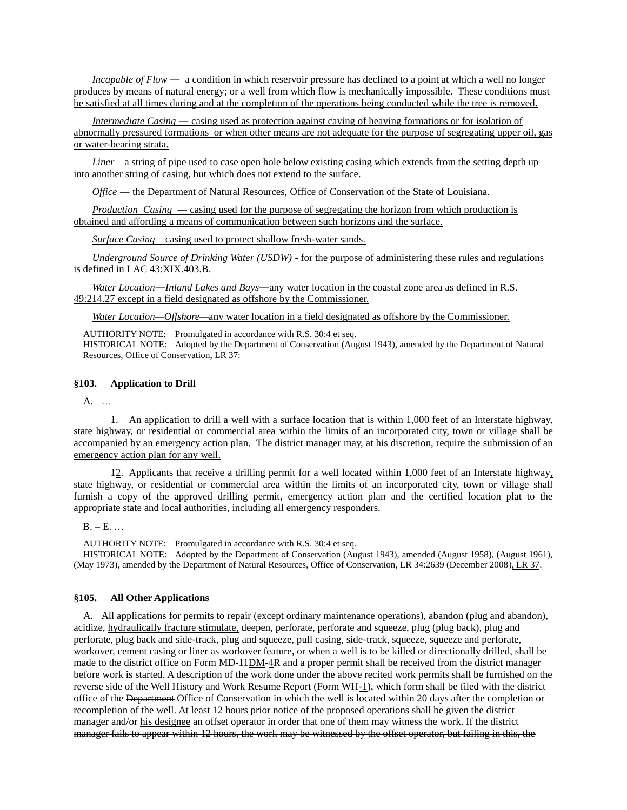*Incapable of Flow* — a condition in which reservoir pressure has declined to a point at which a well no longer produces by means of natural energy; or a well from which flow is mechanically impossible. These conditions must be satisfied at all times during and at the completion of the operations being conducted while the tree is removed.

*Intermediate Casing* — casing used as protection against caving of heaving formations or for isolation of abnormally pressured formations or when other means are not adequate for the purpose of segregating upper oil, gas or water-bearing strata.

*Liner* – a string of pipe used to case open hole below existing casing which extends from the setting depth up into another string of casing, but which does not extend to the surface.

*Office* ― the Department of Natural Resources, Office of Conservation of the State of Louisiana.

*Production Casing* — casing used for the purpose of segregating the horizon from which production is obtained and affording a means of communication between such horizons and the surface.

*Surface Casing* – casing used to protect shallow fresh-water sands.

*Underground Source of Drinking Water (USDW)* - for the purpose of administering these rules and regulations is defined in LAC 43:XIX.403.B.

*Water Location*―*Inland Lakes and Bays*―any water location in the coastal zone area as defined in R.S. 49:214.27 except in a field designated as offshore by the Commissioner.

*Water Location—Offshore—*any water location in a field designated as offshore by the Commissioner.

AUTHORITY NOTE: Promulgated in accordance with R.S. 30:4 et seq. HISTORICAL NOTE: Adopted by the Department of Conservation (August 1943), amended by the Department of Natural Resources, Office of Conservation, LR 37:

### **§103. Application to Drill**

A. …

1. An application to drill a well with a surface location that is within 1,000 feet of an Interstate highway, state highway, or residential or commercial area within the limits of an incorporated city, town or village shall be accompanied by an emergency action plan. The district manager may, at his discretion, require the submission of an emergency action plan for any well.

 $12$ . Applicants that receive a drilling permit for a well located within 1,000 feet of an Interstate highway, state highway, or residential or commercial area within the limits of an incorporated city, town or village shall furnish a copy of the approved drilling permit, emergency action plan and the certified location plat to the appropriate state and local authorities, including all emergency responders.

 $B. - E.$ ...

AUTHORITY NOTE: Promulgated in accordance with R.S. 30:4 et seq.

HISTORICAL NOTE: Adopted by the Department of Conservation (August 1943), amended (August 1958), (August 1961), (May 1973), amended by the Department of Natural Resources, Office of Conservation, LR 34:2639 (December 2008), LR 37.

### **§105. All Other Applications**

A. All applications for permits to repair (except ordinary maintenance operations), abandon (plug and abandon), acidize, hydraulically fracture stimulate, deepen, perforate, perforate and squeeze, plug (plug back), plug and perforate, plug back and side-track, plug and squeeze, pull casing, side-track, squeeze, squeeze and perforate, workover, cement casing or liner as workover feature, or when a well is to be killed or directionally drilled, shall be made to the district office on Form MD-14DM-4R and a proper permit shall be received from the district manager before work is started. A description of the work done under the above recited work permits shall be furnished on the reverse side of the Well History and Work Resume Report (Form WH-1), which form shall be filed with the district office of the Department Office of Conservation in which the well is located within 20 days after the completion or recompletion of the well. At least 12 hours prior notice of the proposed operations shall be given the district manager and/or his designee an offset operator in order that one of them may witness the work. If the district manager fails to appear within 12 hours, the work may be witnessed by the offset operator, but failing in this, the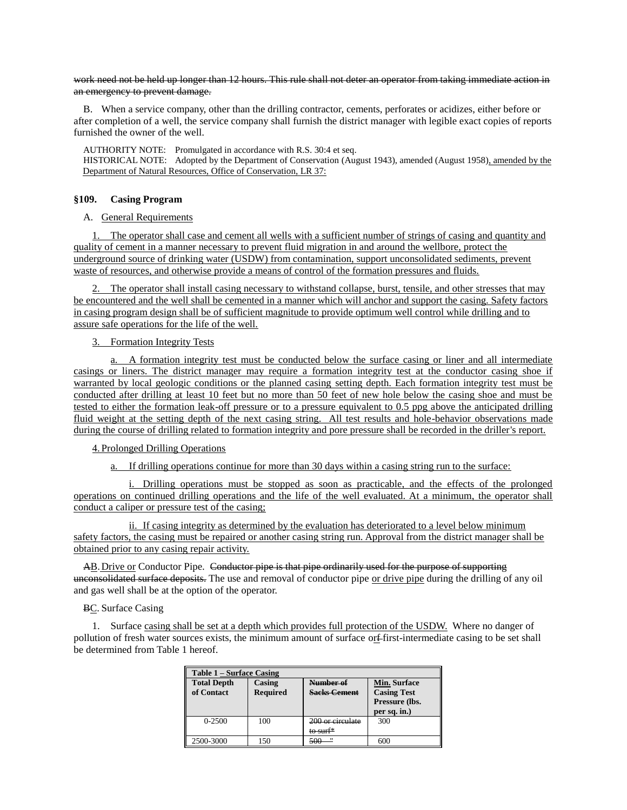work need not be held up longer than 12 hours. This rule shall not deter an operator from taking immediate action in an emergency to prevent damage.

B. When a service company, other than the drilling contractor, cements, perforates or acidizes, either before or after completion of a well, the service company shall furnish the district manager with legible exact copies of reports furnished the owner of the well.

AUTHORITY NOTE: Promulgated in accordance with R.S. 30:4 et seq. HISTORICAL NOTE: Adopted by the Department of Conservation (August 1943), amended (August 1958), amended by the Department of Natural Resources, Office of Conservation, LR 37:

### **§109. Casing Program**

### A. General Requirements

1. The operator shall case and cement all wells with a sufficient number of strings of casing and quantity and quality of cement in a manner necessary to prevent fluid migration in and around the wellbore, protect the underground source of drinking water (USDW) from contamination, support unconsolidated sediments, prevent waste of resources, and otherwise provide a means of control of the formation pressures and fluids.

2. The operator shall install casing necessary to withstand collapse, burst, tensile, and other stresses that may be encountered and the well shall be cemented in a manner which will anchor and support the casing. Safety factors in casing program design shall be of sufficient magnitude to provide optimum well control while drilling and to assure safe operations for the life of the well.

### 3. Formation Integrity Tests

a. A formation integrity test must be conducted below the surface casing or liner and all intermediate casings or liners. The district manager may require a formation integrity test at the conductor casing shoe if warranted by local geologic conditions or the planned casing setting depth. Each formation integrity test must be conducted after drilling at least 10 feet but no more than 50 feet of new hole below the casing shoe and must be tested to either the formation leak-off pressure or to a pressure equivalent to 0.5 ppg above the anticipated drilling fluid weight at the setting depth of the next casing string. All test results and hole-behavior observations made during the course of drilling related to formation integrity and pore pressure shall be recorded in the driller's report.

### 4. Prolonged Drilling Operations

a. If drilling operations continue for more than 30 days within a casing string run to the surface:

i. Drilling operations must be stopped as soon as practicable, and the effects of the prolonged operations on continued drilling operations and the life of the well evaluated. At a minimum, the operator shall conduct a caliper or pressure test of the casing;

ii. If casing integrity as determined by the evaluation has deteriorated to a level below minimum safety factors, the casing must be repaired or another casing string run. Approval from the district manager shall be obtained prior to any casing repair activity.

AB. Drive or Conductor Pipe. Conductor pipe is that pipe ordinarily used for the purpose of supporting unconsolidated surface deposits. The use and removal of conductor pipe or drive pipe during the drilling of any oil and gas well shall be at the option of the operator.

### BC. Surface Casing

1. Surface casing shall be set at a depth which provides full protection of the USDW. Where no danger of pollution of fresh water sources exists, the minimum amount of surface or first-intermediate casing to be set shall be determined from Table 1 hereof.

| Table 1 – Surface Casing         |                           |                                  |                                                                      |  |
|----------------------------------|---------------------------|----------------------------------|----------------------------------------------------------------------|--|
| <b>Total Depth</b><br>of Contact | Casing<br><b>Required</b> | Number of<br><b>Sacks Cement</b> | Min. Surface<br><b>Casing Test</b><br>Pressure (lbs.<br>per sq. in.) |  |
| $0 - 2500$                       | 100                       | 200 or circulate<br>to surf*     | 300                                                                  |  |
| 2500-3000                        | 150                       | $^{\prime\prime}$<br>500         | 600                                                                  |  |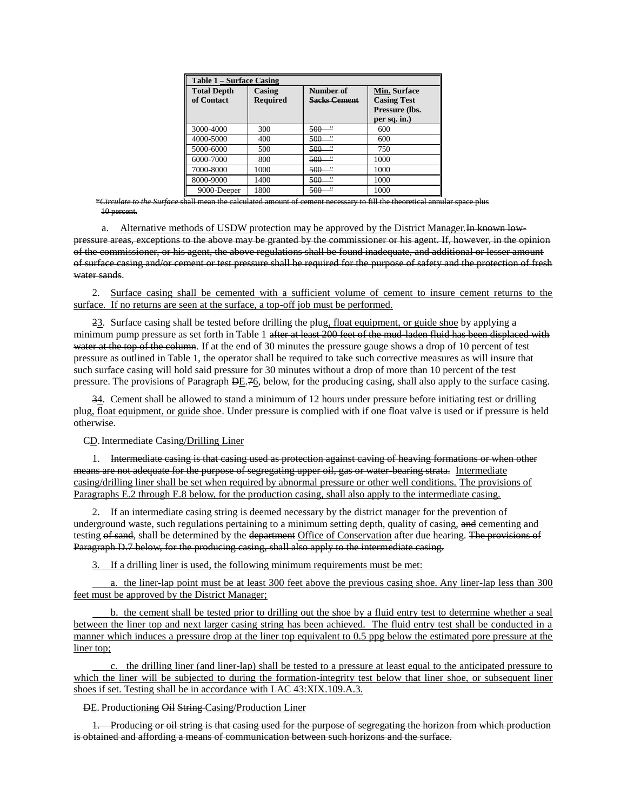| Table 1 – Surface Casing         |                           |                                  |                                                                             |  |
|----------------------------------|---------------------------|----------------------------------|-----------------------------------------------------------------------------|--|
| <b>Total Depth</b><br>of Contact | Casing<br><b>Required</b> | Number of<br><b>Sacks Cement</b> | <b>Min. Surface</b><br><b>Casing Test</b><br>Pressure (lbs.<br>per sq. in.) |  |
| 3000-4000                        | 300                       | $\sim$<br>500                    | 600                                                                         |  |
| 4000-5000                        | 400                       | $\mathbf{H}$<br>500              | 600                                                                         |  |
| 5000-6000                        | 500                       | $\overline{\phantom{a}}$<br>500  | 750                                                                         |  |
| 6000-7000                        | 800                       | $^{\prime\prime}$<br>500         | 1000                                                                        |  |
| 7000-8000                        | 1000                      | .,<br>500                        | 1000                                                                        |  |
| 8000-9000                        | 1400                      | $^{\prime\prime}$<br>500         | 1000                                                                        |  |
| 9000-Deeper                      | 1800                      | $^{\prime\prime}$<br>500         | 1000                                                                        |  |

*\*\*\** mean the calculated amount of cement necessary to fill the theoretical annular space plus 10 percent.

a. Alternative methods of USDW protection may be approved by the District Manager. In known lowpressure areas, exceptions to the above may be granted by the commissioner or his agent. If, however, in the opinion of the commissioner, or his agent, the above regulations shall be found inadequate, and additional or lesser amount of surface casing and/or cement or test pressure shall be required for the purpose of safety and the protection of fresh water sands.

2. Surface casing shall be cemented with a sufficient volume of cement to insure cement returns to the surface. If no returns are seen at the surface, a top-off job must be performed.

23. Surface casing shall be tested before drilling the plug, float equipment, or guide shoe by applying a minimum pump pressure as set forth in Table 1 after at least 200 feet of the mud-laden fluid has been displaced with water at the top of the column. If at the end of 30 minutes the pressure gauge shows a drop of 10 percent of test pressure as outlined in Table 1, the operator shall be required to take such corrective measures as will insure that such surface casing will hold said pressure for 30 minutes without a drop of more than 10 percent of the test pressure. The provisions of Paragraph  $\overline{DE}$ .  $\overline{76}$ , below, for the producing casing, shall also apply to the surface casing.

34. Cement shall be allowed to stand a minimum of 12 hours under pressure before initiating test or drilling plug, float equipment, or guide shoe. Under pressure is complied with if one float valve is used or if pressure is held otherwise.

CD.Intermediate Casing/Drilling Liner

1. Intermediate casing is that casing used as protection against caving of heaving formations or when other means are not adequate for the purpose of segregating upper oil, gas or water-bearing strata. Intermediate casing/drilling liner shall be set when required by abnormal pressure or other well conditions. The provisions of Paragraphs E.2 through E.8 below, for the production casing, shall also apply to the intermediate casing.

2. If an intermediate casing string is deemed necessary by the district manager for the prevention of underground waste, such regulations pertaining to a minimum setting depth, quality of casing, and cementing and testing of sand, shall be determined by the department Office of Conservation after due hearing. The provisions of Paragraph D.7 below, for the producing casing, shall also apply to the intermediate casing.

3. If a drilling liner is used, the following minimum requirements must be met:

a. the liner-lap point must be at least 300 feet above the previous casing shoe. Any liner-lap less than 300 feet must be approved by the District Manager;

b. the cement shall be tested prior to drilling out the shoe by a fluid entry test to determine whether a seal between the liner top and next larger casing string has been achieved. The fluid entry test shall be conducted in a manner which induces a pressure drop at the liner top equivalent to 0.5 ppg below the estimated pore pressure at the liner top;

c. the drilling liner (and liner-lap) shall be tested to a pressure at least equal to the anticipated pressure to which the liner will be subjected to during the formation-integrity test below that liner shoe, or subsequent liner shoes if set. Testing shall be in accordance with LAC 43:XIX.109.A.3.

DE. Productioning Oil String Casing/Production Liner

1. Producing or oil string is that casing used for the purpose of segregating the horizon from which production is obtained and affording a means of communication between such horizons and the surface.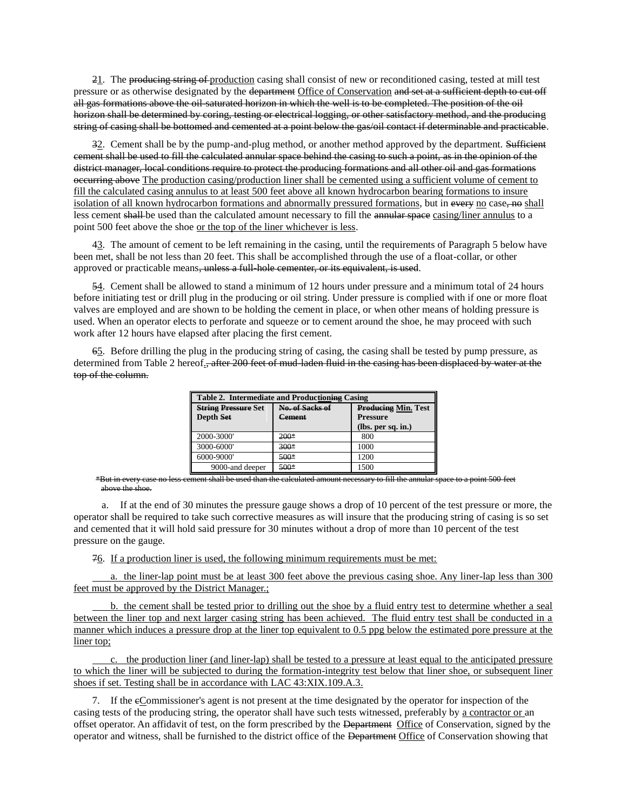21. The producing string of production casing shall consist of new or reconditioned casing, tested at mill test pressure or as otherwise designated by the department Office of Conservation and set at a sufficient depth to cut off all gas formations above the oil-saturated horizon in which the well is to be completed. The position of the oil horizon shall be determined by coring, testing or electrical logging, or other satisfactory method, and the producing string of casing shall be bottomed and cemented at a point below the gas/oil contact if determinable and practicable.

32. Cement shall be by the pump-and-plug method, or another method approved by the department. Sufficient cement shall be used to fill the calculated annular space behind the casing to such a point, as in the opinion of the district manager, local conditions require to protect the producing formations and all other oil and gas formations occurring above The production casing/production liner shall be cemented using a sufficient volume of cement to fill the calculated casing annulus to at least 500 feet above all known hydrocarbon bearing formations to insure isolation of all known hydrocarbon formations and abnormally pressured formations, but in every no case, no shall less cement shall be used than the calculated amount necessary to fill the annular space casing/liner annulus to a point 500 feet above the shoe or the top of the liner whichever is less.

43. The amount of cement to be left remaining in the casing, until the requirements of Paragraph 5 below have been met, shall be not less than 20 feet. This shall be accomplished through the use of a float-collar, or other approved or practicable means, unless a full-hole cementer, or its equivalent, is used.

54. Cement shall be allowed to stand a minimum of 12 hours under pressure and a minimum total of 24 hours before initiating test or drill plug in the producing or oil string. Under pressure is complied with if one or more float valves are employed and are shown to be holding the cement in place, or when other means of holding pressure is used. When an operator elects to perforate and squeeze or to cement around the shoe, he may proceed with such work after 12 hours have elapsed after placing the first cement.

65. Before drilling the plug in the producing string of casing, the casing shall be tested by pump pressure, as determined from Table 2 hereof., after 200 feet of mud-laden fluid in the casing has been displaced by water at the top of the column.

| Table 2. Intermediate and Productioning Casing |                 |                                       |  |  |
|------------------------------------------------|-----------------|---------------------------------------|--|--|
| <b>String Pressure Set</b>                     | No. of Sacks of | <b>Producing Min. Test</b>            |  |  |
| Depth Set                                      | Cement          | <b>Pressure</b><br>(lbs. per sq. in.) |  |  |
| 2000-3000'                                     | $200*$          | 800                                   |  |  |
| 3000-6000'                                     | $300*$          | 1000                                  |  |  |
| 6000-9000'                                     | $500*$          | 1200                                  |  |  |
| 9000-and deeper                                | $500*$          | 1500                                  |  |  |

\*But in every case no less cement shall be used than the calculated amount necessary to fill the annular space to a point 500 feet above the shoe.

a. If at the end of 30 minutes the pressure gauge shows a drop of 10 percent of the test pressure or more, the operator shall be required to take such corrective measures as will insure that the producing string of casing is so set and cemented that it will hold said pressure for 30 minutes without a drop of more than 10 percent of the test pressure on the gauge.

76. If a production liner is used, the following minimum requirements must be met:

a. the liner-lap point must be at least 300 feet above the previous casing shoe. Any liner-lap less than 300 feet must be approved by the District Manager.;

b. the cement shall be tested prior to drilling out the shoe by a fluid entry test to determine whether a seal between the liner top and next larger casing string has been achieved. The fluid entry test shall be conducted in a manner which induces a pressure drop at the liner top equivalent to 0.5 ppg below the estimated pore pressure at the liner top;

c. the production liner (and liner-lap) shall be tested to a pressure at least equal to the anticipated pressure to which the liner will be subjected to during the formation-integrity test below that liner shoe, or subsequent liner shoes if set. Testing shall be in accordance with LAC 43:XIX.109.A.3.

7. If the cCommissioner's agent is not present at the time designated by the operator for inspection of the casing tests of the producing string, the operator shall have such tests witnessed, preferably by a contractor or an offset operator. An affidavit of test, on the form prescribed by the Department Office of Conservation, signed by the operator and witness, shall be furnished to the district office of the Department Office of Conservation showing that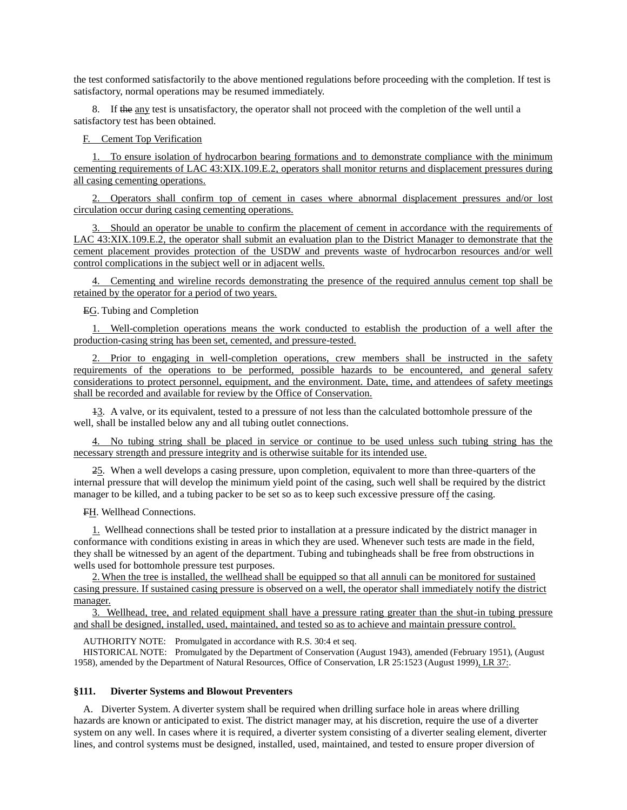the test conformed satisfactorily to the above mentioned regulations before proceeding with the completion. If test is satisfactory, normal operations may be resumed immediately.

8. If the any test is unsatisfactory, the operator shall not proceed with the completion of the well until a satisfactory test has been obtained.

F. Cement Top Verification

1. To ensure isolation of hydrocarbon bearing formations and to demonstrate compliance with the minimum cementing requirements of LAC 43:XIX.109.E.2, operators shall monitor returns and displacement pressures during all casing cementing operations.

2. Operators shall confirm top of cement in cases where abnormal displacement pressures and/or lost circulation occur during casing cementing operations.

3. Should an operator be unable to confirm the placement of cement in accordance with the requirements of LAC 43:XIX.109.E.2, the operator shall submit an evaluation plan to the District Manager to demonstrate that the cement placement provides protection of the USDW and prevents waste of hydrocarbon resources and/or well control complications in the subject well or in adjacent wells.

4. Cementing and wireline records demonstrating the presence of the required annulus cement top shall be retained by the operator for a period of two years.

EG. Tubing and Completion

1. Well-completion operations means the work conducted to establish the production of a well after the production-casing string has been set, cemented, and pressure-tested.

2. Prior to engaging in well-completion operations, crew members shall be instructed in the safety requirements of the operations to be performed, possible hazards to be encountered, and general safety considerations to protect personnel, equipment, and the environment. Date, time, and attendees of safety meetings shall be recorded and available for review by the Office of Conservation.

13. A valve, or its equivalent, tested to a pressure of not less than the calculated bottomhole pressure of the well, shall be installed below any and all tubing outlet connections.

4. No tubing string shall be placed in service or continue to be used unless such tubing string has the necessary strength and pressure integrity and is otherwise suitable for its intended use.

25. When a well develops a casing pressure, upon completion, equivalent to more than three-quarters of the internal pressure that will develop the minimum yield point of the casing, such well shall be required by the district manager to be killed, and a tubing packer to be set so as to keep such excessive pressure off the casing.

FH. Wellhead Connections.

1. Wellhead connections shall be tested prior to installation at a pressure indicated by the district manager in conformance with conditions existing in areas in which they are used. Whenever such tests are made in the field, they shall be witnessed by an agent of the department. Tubing and tubingheads shall be free from obstructions in wells used for bottomhole pressure test purposes.

2.When the tree is installed, the wellhead shall be equipped so that all annuli can be monitored for sustained casing pressure. If sustained casing pressure is observed on a well, the operator shall immediately notify the district manager.

3. Wellhead, tree, and related equipment shall have a pressure rating greater than the shut-in tubing pressure and shall be designed, installed, used, maintained, and tested so as to achieve and maintain pressure control.

AUTHORITY NOTE: Promulgated in accordance with R.S. 30:4 et seq.

HISTORICAL NOTE: Promulgated by the Department of Conservation (August 1943), amended (February 1951), (August 1958), amended by the Department of Natural Resources, Office of Conservation, LR 25:1523 (August 1999), LR 37:.

### **§111. Diverter Systems and Blowout Preventers**

A. Diverter System. A diverter system shall be required when drilling surface hole in areas where drilling hazards are known or anticipated to exist. The district manager may, at his discretion, require the use of a diverter system on any well. In cases where it is required, a diverter system consisting of a diverter sealing element, diverter lines, and control systems must be designed, installed, used, maintained, and tested to ensure proper diversion of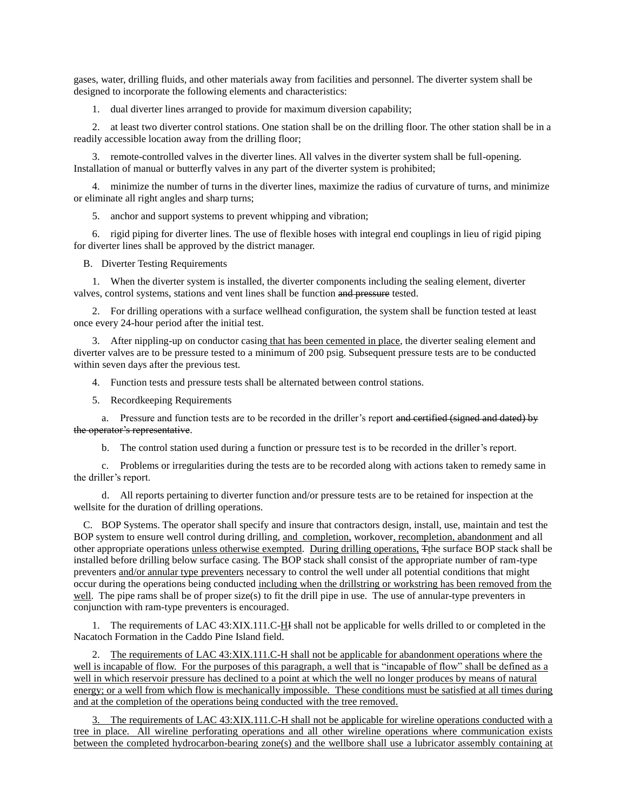gases, water, drilling fluids, and other materials away from facilities and personnel. The diverter system shall be designed to incorporate the following elements and characteristics:

1. dual diverter lines arranged to provide for maximum diversion capability;

2. at least two diverter control stations. One station shall be on the drilling floor. The other station shall be in a readily accessible location away from the drilling floor;

3. remote-controlled valves in the diverter lines. All valves in the diverter system shall be full-opening. Installation of manual or butterfly valves in any part of the diverter system is prohibited;

4. minimize the number of turns in the diverter lines, maximize the radius of curvature of turns, and minimize or eliminate all right angles and sharp turns;

5. anchor and support systems to prevent whipping and vibration;

6. rigid piping for diverter lines. The use of flexible hoses with integral end couplings in lieu of rigid piping for diverter lines shall be approved by the district manager.

B. Diverter Testing Requirements

1. When the diverter system is installed, the diverter components including the sealing element, diverter valves, control systems, stations and vent lines shall be function and pressure tested.

2. For drilling operations with a surface wellhead configuration, the system shall be function tested at least once every 24-hour period after the initial test.

3. After nippling-up on conductor casing that has been cemented in place, the diverter sealing element and diverter valves are to be pressure tested to a minimum of 200 psig. Subsequent pressure tests are to be conducted within seven days after the previous test.

4. Function tests and pressure tests shall be alternated between control stations.

5. Recordkeeping Requirements

a. Pressure and function tests are to be recorded in the driller's report and certified (signed and dated) by the operator's representative.

b. The control station used during a function or pressure test is to be recorded in the driller's report.

c. Problems or irregularities during the tests are to be recorded along with actions taken to remedy same in the driller's report.

d. All reports pertaining to diverter function and/or pressure tests are to be retained for inspection at the wellsite for the duration of drilling operations.

C. BOP Systems. The operator shall specify and insure that contractors design, install, use, maintain and test the BOP system to ensure well control during drilling, and completion, workover, recompletion, abandonment and all other appropriate operations unless otherwise exempted. During drilling operations, Tthe surface BOP stack shall be installed before drilling below surface casing. The BOP stack shall consist of the appropriate number of ram-type preventers and/or annular type preventers necessary to control the well under all potential conditions that might occur during the operations being conducted including when the drillstring or workstring has been removed from the well. The pipe rams shall be of proper size(s) to fit the drill pipe in use. The use of annular-type preventers in conjunction with ram-type preventers is encouraged.

1. The requirements of LAC 43:XIX.111.C-HI shall not be applicable for wells drilled to or completed in the Nacatoch Formation in the Caddo Pine Island field.

2. The requirements of LAC 43:XIX.111.C-H shall not be applicable for abandonment operations where the well is incapable of flow. For the purposes of this paragraph, a well that is "incapable of flow" shall be defined as a well in which reservoir pressure has declined to a point at which the well no longer produces by means of natural energy; or a well from which flow is mechanically impossible. These conditions must be satisfied at all times during and at the completion of the operations being conducted with the tree removed.

3. The requirements of LAC 43:XIX.111.C-H shall not be applicable for wireline operations conducted with a tree in place. All wireline perforating operations and all other wireline operations where communication exists between the completed hydrocarbon-bearing zone(s) and the wellbore shall use a lubricator assembly containing at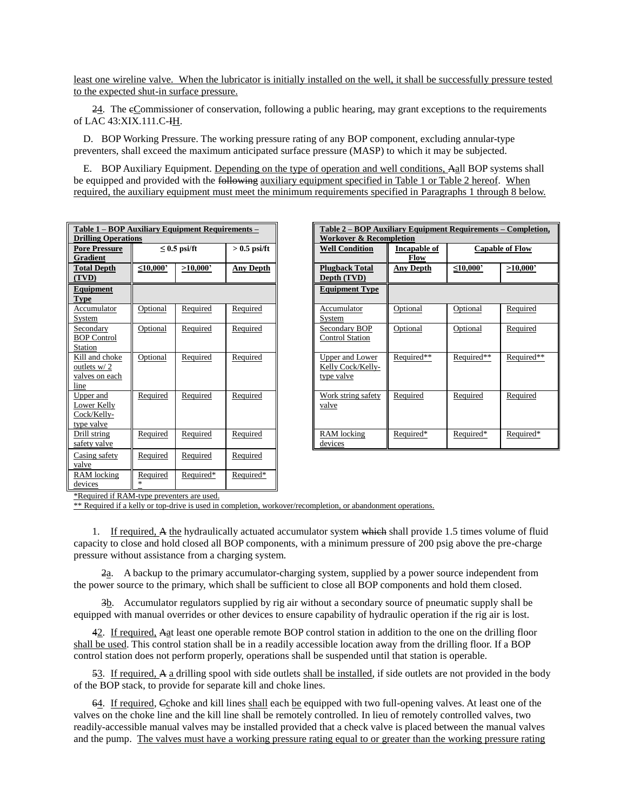least one wireline valve. When the lubricator is initially installed on the well, it shall be successfully pressure tested to the expected shut-in surface pressure.

24. The cCommissioner of conservation, following a public hearing, may grant exceptions to the requirements of LAC 43:XIX.111.C-IH.

D. BOP Working Pressure. The working pressure rating of any BOP component, excluding annular-type preventers, shall exceed the maximum anticipated surface pressure (MASP) to which it may be subjected.

E. BOP Auxiliary Equipment. Depending on the type of operation and well conditions, Aall BOP systems shall be equipped and provided with the **following auxiliary equipment specified in Table 1 or Table 2 hereof.** When required, the auxiliary equipment must meet the minimum requirements specified in Paragraphs 1 through 8 below.

| Table 1 – BOP Auxiliary Equipment Requirements –<br><b>Drilling Operations</b> |                 |                   |                  | Table 2 - BOP Au<br><b>Workover &amp; Reco</b>            |
|--------------------------------------------------------------------------------|-----------------|-------------------|------------------|-----------------------------------------------------------|
| <b>Pore Pressure</b><br><b>Gradient</b>                                        |                 | $\leq$ 0.5 psi/ft | $> 0.5$ psi/ft   | <b>Well Condition</b>                                     |
| <b>Total Depth</b><br>(TVD)                                                    | $\leq 10,000$ ' | >10,000           | <b>Any Depth</b> | <b>Plugback Total</b><br>Depth (TVD)                      |
| Equipment<br><b>Type</b>                                                       |                 |                   |                  | <b>Equipment Type</b>                                     |
| Accumulator<br>System                                                          | Optional        | Required          | Required         | Accumulator<br>System                                     |
| Secondary<br><b>BOP</b> Control<br>Station                                     | Optional        | Required          | Required         | Secondary BOP<br><b>Control Station</b>                   |
| Kill and choke<br>outlets w/2<br>valves on each<br>line                        | Optional        | Required          | Required         | <b>Upper and Lower</b><br>Kelly Cock/Kelly-<br>type valve |
| Upper and<br>Lower Kelly<br>Cock/Kelly-<br>type valve                          | Required        | Required          | Required         | Work string safety<br>valve                               |
| Drill string<br>safety valve                                                   | Required        | Required          | Required         | <b>RAM</b> locking<br>devices                             |
| Casing safety<br>valve                                                         | Required        | Required          | Required         |                                                           |
| RAM locking<br>devices                                                         | Required<br>sk. | Required*         | Required*        |                                                           |

| <b>Workover &amp; Recompletion</b>                                                                                                  | <b>Capable of Flow</b> |
|-------------------------------------------------------------------------------------------------------------------------------------|------------------------|
|                                                                                                                                     |                        |
| $> 0.5$ psi/ft<br>$\leq 0.5$ psi/ft<br><b>Well Condition</b><br><b>Incapable of</b><br>Flow                                         |                        |
| $\overline{\mathbf{0}}$<br>>10,000<br><b>Any Depth</b><br><b>Plugback Total</b><br>$\leq 10,000$<br><b>Any Depth</b><br>Depth (TVD) | >10,000                |
| <b>Equipment Type</b>                                                                                                               |                        |
| Required<br>Optional<br>Required<br>Optional<br>Accumulator<br>$\underline{\mathbf{a}}$<br>System                                   | Required               |
| Required<br>Required<br>Optional<br>Optional<br>al<br>Secondary BOP<br><b>Control Station</b>                                       | Required               |
| Required**<br>Required**<br>Required<br>Required<br>Upper and Lower<br><u>al</u><br>Kelly Cock/Kelly-<br>type valve                 | Required**             |
| Required<br>Required<br>Required<br>Required<br>Work string safety<br>ed<br>valve                                                   | Required               |
| Required<br>Required<br>Required*<br>Required*<br>RAM locking<br>ed<br>devices                                                      | Required*              |

\*Required if RAM-type preventers are used.

\*\* Required if a kelly or top-drive is used in completion, workover/recompletion, or abandonment operations.

1. If required, A the hydraulically actuated accumulator system which shall provide 1.5 times volume of fluid capacity to close and hold closed all BOP components, with a minimum pressure of 200 psig above the pre-charge pressure without assistance from a charging system.

2a. A backup to the primary accumulator-charging system, supplied by a power source independent from the power source to the primary, which shall be sufficient to close all BOP components and hold them closed.

3b. Accumulator regulators supplied by rig air without a secondary source of pneumatic supply shall be equipped with manual overrides or other devices to ensure capability of hydraulic operation if the rig air is lost.

42. If required, Aat least one operable remote BOP control station in addition to the one on the drilling floor shall be used. This control station shall be in a readily accessible location away from the drilling floor. If a BOP control station does not perform properly, operations shall be suspended until that station is operable.

53. If required, A a drilling spool with side outlets shall be installed, if side outlets are not provided in the body of the BOP stack, to provide for separate kill and choke lines.

64. If required, Cchoke and kill lines shall each be equipped with two full-opening valves. At least one of the valves on the choke line and the kill line shall be remotely controlled. In lieu of remotely controlled valves, two readily-accessible manual valves may be installed provided that a check valve is placed between the manual valves and the pump. The valves must have a working pressure rating equal to or greater than the working pressure rating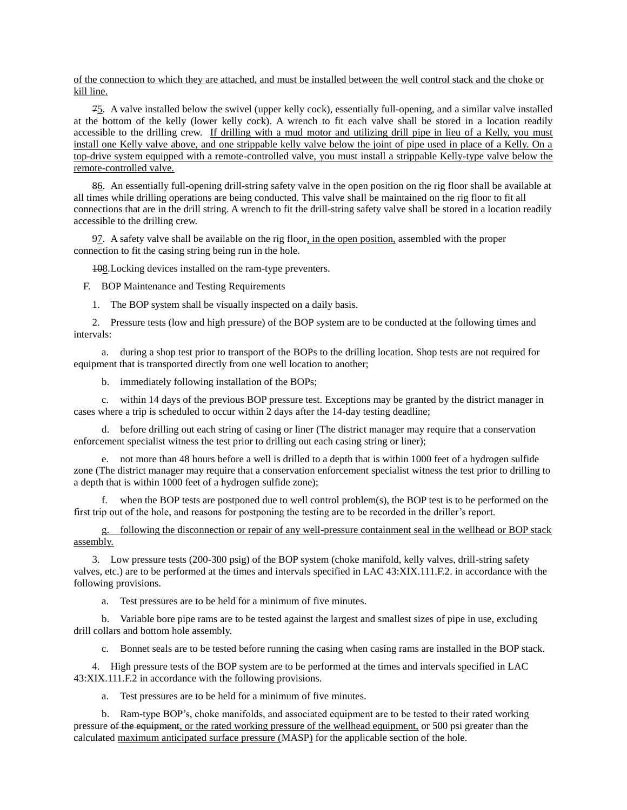of the connection to which they are attached, and must be installed between the well control stack and the choke or kill line.

75. A valve installed below the swivel (upper kelly cock), essentially full-opening, and a similar valve installed at the bottom of the kelly (lower kelly cock). A wrench to fit each valve shall be stored in a location readily accessible to the drilling crew. If drilling with a mud motor and utilizing drill pipe in lieu of a Kelly, you must install one Kelly valve above, and one strippable kelly valve below the joint of pipe used in place of a Kelly. On a top-drive system equipped with a remote-controlled valve, you must install a strippable Kelly-type valve below the remote-controlled valve.

86. An essentially full-opening drill-string safety valve in the open position on the rig floor shall be available at all times while drilling operations are being conducted. This valve shall be maintained on the rig floor to fit all connections that are in the drill string. A wrench to fit the drill-string safety valve shall be stored in a location readily accessible to the drilling crew.

97. A safety valve shall be available on the rig floor, in the open position, assembled with the proper connection to fit the casing string being run in the hole.

108.Locking devices installed on the ram-type preventers.

F. BOP Maintenance and Testing Requirements

1. The BOP system shall be visually inspected on a daily basis.

2. Pressure tests (low and high pressure) of the BOP system are to be conducted at the following times and intervals:

a. during a shop test prior to transport of the BOPs to the drilling location. Shop tests are not required for equipment that is transported directly from one well location to another;

b. immediately following installation of the BOPs;

c. within 14 days of the previous BOP pressure test. Exceptions may be granted by the district manager in cases where a trip is scheduled to occur within 2 days after the 14-day testing deadline;

d. before drilling out each string of casing or liner (The district manager may require that a conservation enforcement specialist witness the test prior to drilling out each casing string or liner);

e. not more than 48 hours before a well is drilled to a depth that is within 1000 feet of a hydrogen sulfide zone (The district manager may require that a conservation enforcement specialist witness the test prior to drilling to a depth that is within 1000 feet of a hydrogen sulfide zone);

f. when the BOP tests are postponed due to well control problem(s), the BOP test is to be performed on the first trip out of the hole, and reasons for postponing the testing are to be recorded in the driller's report.

g. following the disconnection or repair of any well-pressure containment seal in the wellhead or BOP stack assembly.

3. Low pressure tests (200-300 psig) of the BOP system (choke manifold, kelly valves, drill-string safety valves, etc.) are to be performed at the times and intervals specified in LAC 43:XIX.111.F.2. in accordance with the following provisions.

a. Test pressures are to be held for a minimum of five minutes.

b. Variable bore pipe rams are to be tested against the largest and smallest sizes of pipe in use, excluding drill collars and bottom hole assembly.

c. Bonnet seals are to be tested before running the casing when casing rams are installed in the BOP stack.

4. High pressure tests of the BOP system are to be performed at the times and intervals specified in LAC 43:XIX.111.F.2 in accordance with the following provisions.

a. Test pressures are to be held for a minimum of five minutes.

b. Ram-type BOP's, choke manifolds, and associated equipment are to be tested to their rated working pressure of the equipment, or the rated working pressure of the wellhead equipment, or 500 psi greater than the calculated maximum anticipated surface pressure (MASP) for the applicable section of the hole.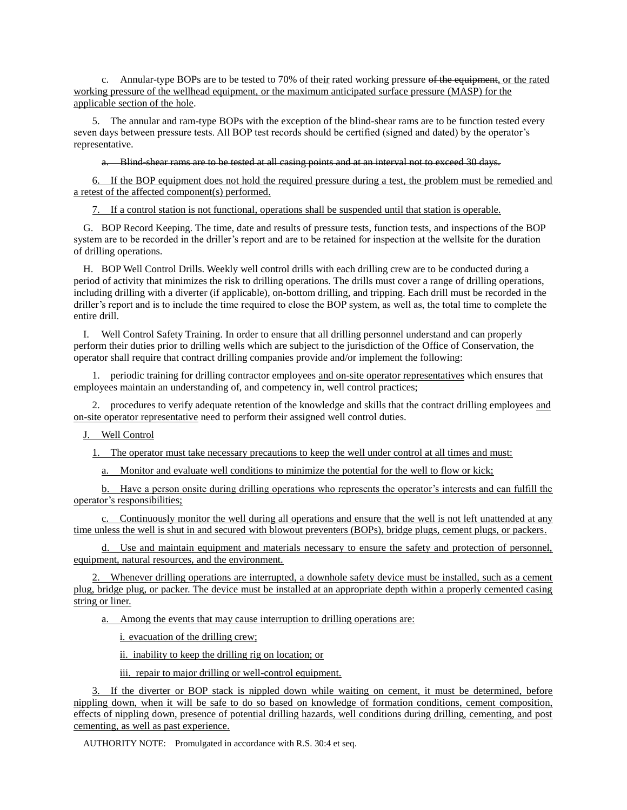c. Annular-type BOPs are to be tested to 70% of their rated working pressure of the equipment, or the rated working pressure of the wellhead equipment, or the maximum anticipated surface pressure (MASP) for the applicable section of the hole.

5. The annular and ram-type BOPs with the exception of the blind-shear rams are to be function tested every seven days between pressure tests. All BOP test records should be certified (signed and dated) by the operator's representative.

a. Blind-shear rams are to be tested at all casing points and at an interval not to exceed 30 days.

6. If the BOP equipment does not hold the required pressure during a test, the problem must be remedied and a retest of the affected component(s) performed.

7. If a control station is not functional, operations shall be suspended until that station is operable.

G. BOP Record Keeping. The time, date and results of pressure tests, function tests, and inspections of the BOP system are to be recorded in the driller's report and are to be retained for inspection at the wellsite for the duration of drilling operations.

H. BOP Well Control Drills. Weekly well control drills with each drilling crew are to be conducted during a period of activity that minimizes the risk to drilling operations. The drills must cover a range of drilling operations, including drilling with a diverter (if applicable), on-bottom drilling, and tripping. Each drill must be recorded in the driller's report and is to include the time required to close the BOP system, as well as, the total time to complete the entire drill.

I. Well Control Safety Training. In order to ensure that all drilling personnel understand and can properly perform their duties prior to drilling wells which are subject to the jurisdiction of the Office of Conservation, the operator shall require that contract drilling companies provide and/or implement the following:

1. periodic training for drilling contractor employees and on-site operator representatives which ensures that employees maintain an understanding of, and competency in, well control practices;

2. procedures to verify adequate retention of the knowledge and skills that the contract drilling employees and on-site operator representative need to perform their assigned well control duties.

J. Well Control

1. The operator must take necessary precautions to keep the well under control at all times and must:

a. Monitor and evaluate well conditions to minimize the potential for the well to flow or kick;

b. Have a person onsite during drilling operations who represents the operator's interests and can fulfill the operator's responsibilities;

c. Continuously monitor the well during all operations and ensure that the well is not left unattended at any time unless the well is shut in and secured with blowout preventers (BOPs), bridge plugs, cement plugs, or packers.

d. Use and maintain equipment and materials necessary to ensure the safety and protection of personnel, equipment, natural resources, and the environment.

2. Whenever drilling operations are interrupted, a downhole safety device must be installed, such as a cement plug, bridge plug, or packer. The device must be installed at an appropriate depth within a properly cemented casing string or liner.

a. Among the events that may cause interruption to drilling operations are:

i. evacuation of the drilling crew;

ii. inability to keep the drilling rig on location; or

iii. repair to major drilling or well-control equipment.

If the diverter or BOP stack is nippled down while waiting on cement, it must be determined, before nippling down, when it will be safe to do so based on knowledge of formation conditions, cement composition, effects of nippling down, presence of potential drilling hazards, well conditions during drilling, cementing, and post cementing, as well as past experience.

AUTHORITY NOTE: Promulgated in accordance with R.S. 30:4 et seq.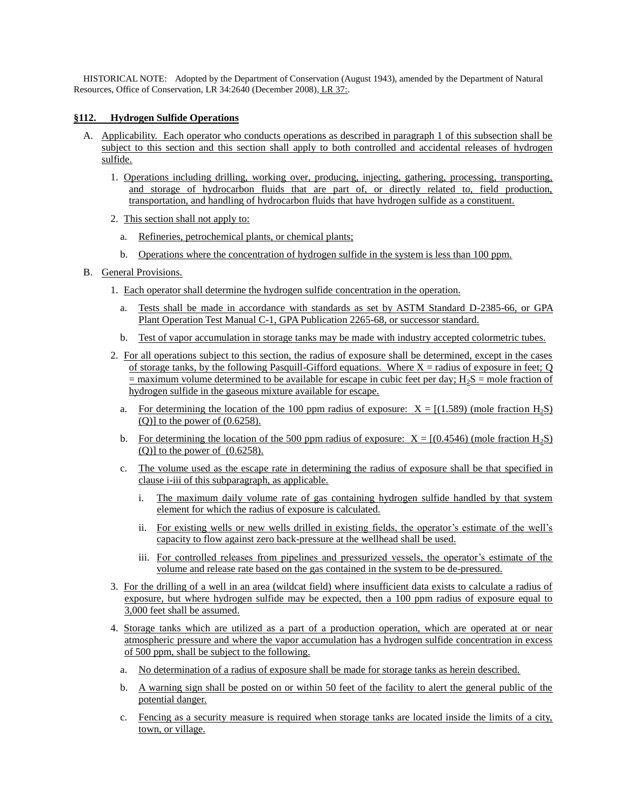HISTORICAL NOTE: Adopted by the Department of Conservation (August 1943), amended by the Department of Natural Resources, Office of Conservation, LR 34:2640 (December 2008), LR 37:.

### **§112. Hydrogen Sulfide Operations**

- A. Applicability. Each operator who conducts operations as described in paragraph 1 of this subsection shall be subject to this section and this section shall apply to both controlled and accidental releases of hydrogen sulfide.
	- 1. Operations including drilling, working over, producing, injecting, gathering, processing, transporting, and storage of hydrocarbon fluids that are part of, or directly related to, field production, transportation, and handling of hydrocarbon fluids that have hydrogen sulfide as a constituent.
	- 2. This section shall not apply to:
		- a. Refineries, petrochemical plants, or chemical plants;
		- b. Operations where the concentration of hydrogen sulfide in the system is less than 100 ppm.
- B. General Provisions.
	- 1. Each operator shall determine the hydrogen sulfide concentration in the operation.
		- a. Tests shall be made in accordance with standards as set by ASTM Standard D-2385-66, or GPA Plant Operation Test Manual C-1, GPA Publication 2265-68, or successor standard.
		- b. Test of vapor accumulation in storage tanks may be made with industry accepted colormetric tubes.
	- 2. For all operations subject to this section, the radius of exposure shall be determined, except in the cases of storage tanks, by the following Pasquill-Gifford equations. Where  $X =$  radius of exposure in feet; Q  $\equiv$  maximum volume determined to be available for escape in cubic feet per day; H<sub>2</sub>S = mole fraction of hydrogen sulfide in the gaseous mixture available for escape.
		- a. For determining the location of the 100 ppm radius of exposure:  $X = \{(1.589) \text{ (mole fraction H}_2S)\}$  $(Q)$ ] to the power of  $(0.6258)$ .
		- b. For determining the location of the 500 ppm radius of exposure:  $X = [(0.4546)$  (mole fraction  $H_2S$ )  $(Q)$ ] to the power of  $(0.6258)$ .
		- c. The volume used as the escape rate in determining the radius of exposure shall be that specified in clause i-iii of this subparagraph, as applicable.
			- i. The maximum daily volume rate of gas containing hydrogen sulfide handled by that system element for which the radius of exposure is calculated.
			- ii. For existing wells or new wells drilled in existing fields, the operator's estimate of the well's capacity to flow against zero back-pressure at the wellhead shall be used.
			- iii. For controlled releases from pipelines and pressurized vessels, the operator's estimate of the volume and release rate based on the gas contained in the system to be de-pressured.
	- 3. For the drilling of a well in an area (wildcat field) where insufficient data exists to calculate a radius of exposure, but where hydrogen sulfide may be expected, then a 100 ppm radius of exposure equal to 3,000 feet shall be assumed.
	- 4. Storage tanks which are utilized as a part of a production operation, which are operated at or near atmospheric pressure and where the vapor accumulation has a hydrogen sulfide concentration in excess of 500 ppm, shall be subject to the following.
		- a. No determination of a radius of exposure shall be made for storage tanks as herein described.
		- b. A warning sign shall be posted on or within 50 feet of the facility to alert the general public of the potential danger.
		- c. Fencing as a security measure is required when storage tanks are located inside the limits of a city, town, or village.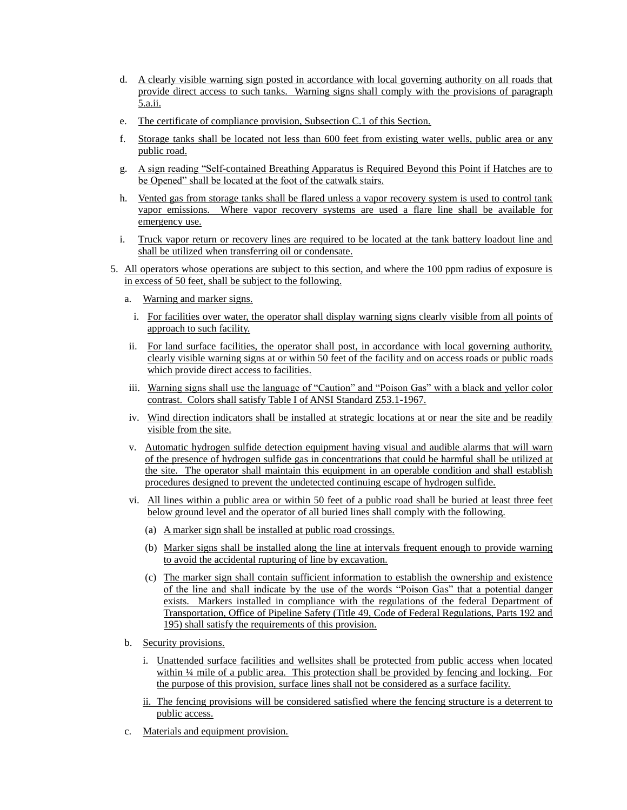- d. A clearly visible warning sign posted in accordance with local governing authority on all roads that provide direct access to such tanks. Warning signs shall comply with the provisions of paragraph 5.a.ii.
- e. The certificate of compliance provision, Subsection C.1 of this Section.
- f. Storage tanks shall be located not less than 600 feet from existing water wells, public area or any public road.
- g. A sign reading "Self-contained Breathing Apparatus is Required Beyond this Point if Hatches are to be Opened" shall be located at the foot of the catwalk stairs.
- h. Vented gas from storage tanks shall be flared unless a vapor recovery system is used to control tank vapor emissions. Where vapor recovery systems are used a flare line shall be available for emergency use.
- i. Truck vapor return or recovery lines are required to be located at the tank battery loadout line and shall be utilized when transferring oil or condensate.
- 5. All operators whose operations are subject to this section, and where the 100 ppm radius of exposure is in excess of 50 feet, shall be subject to the following.
	- a. Warning and marker signs.
		- i. For facilities over water, the operator shall display warning signs clearly visible from all points of approach to such facility.
	- ii. For land surface facilities, the operator shall post, in accordance with local governing authority, clearly visible warning signs at or within 50 feet of the facility and on access roads or public roads which provide direct access to facilities.
	- iii. Warning signs shall use the language of "Caution" and "Poison Gas" with a black and yellor color contrast. Colors shall satisfy Table I of ANSI Standard Z53.1-1967.
	- iv. Wind direction indicators shall be installed at strategic locations at or near the site and be readily visible from the site.
	- v. Automatic hydrogen sulfide detection equipment having visual and audible alarms that will warn of the presence of hydrogen sulfide gas in concentrations that could be harmful shall be utilized at the site. The operator shall maintain this equipment in an operable condition and shall establish procedures designed to prevent the undetected continuing escape of hydrogen sulfide.
	- vi. All lines within a public area or within 50 feet of a public road shall be buried at least three feet below ground level and the operator of all buried lines shall comply with the following.
		- (a) A marker sign shall be installed at public road crossings.
		- (b) Marker signs shall be installed along the line at intervals frequent enough to provide warning to avoid the accidental rupturing of line by excavation.
		- (c) The marker sign shall contain sufficient information to establish the ownership and existence of the line and shall indicate by the use of the words "Poison Gas" that a potential danger exists. Markers installed in compliance with the regulations of the federal Department of Transportation, Office of Pipeline Safety (Title 49, Code of Federal Regulations, Parts 192 and 195) shall satisfy the requirements of this provision.
	- b. Security provisions.
		- i. Unattended surface facilities and wellsites shall be protected from public access when located within ¼ mile of a public area. This protection shall be provided by fencing and locking. For the purpose of this provision, surface lines shall not be considered as a surface facility.
		- ii. The fencing provisions will be considered satisfied where the fencing structure is a deterrent to public access.
	- c. Materials and equipment provision.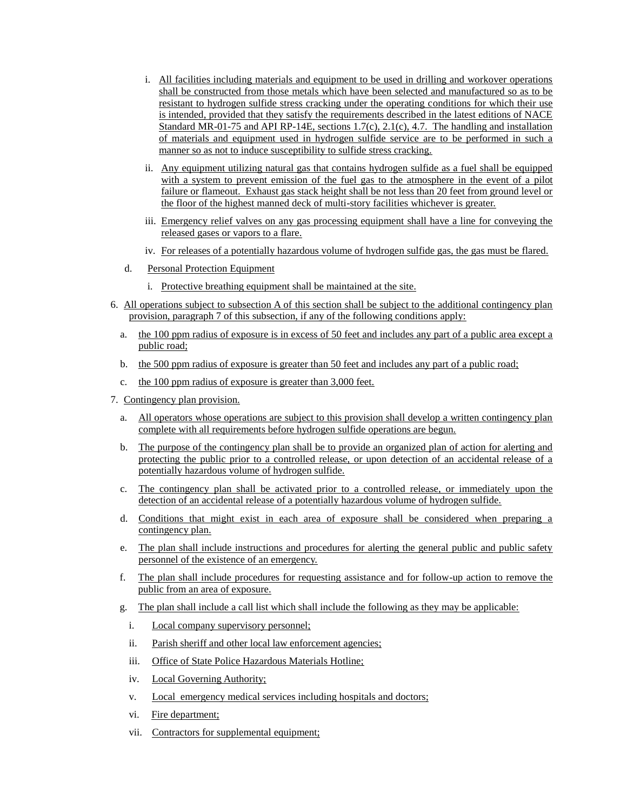- i. All facilities including materials and equipment to be used in drilling and workover operations shall be constructed from those metals which have been selected and manufactured so as to be resistant to hydrogen sulfide stress cracking under the operating conditions for which their use is intended, provided that they satisfy the requirements described in the latest editions of NACE Standard MR-01-75 and API RP-14E, sections 1.7(c), 2.1(c), 4.7. The handling and installation of materials and equipment used in hydrogen sulfide service are to be performed in such a manner so as not to induce susceptibility to sulfide stress cracking.
- ii. Any equipment utilizing natural gas that contains hydrogen sulfide as a fuel shall be equipped with a system to prevent emission of the fuel gas to the atmosphere in the event of a pilot failure or flameout. Exhaust gas stack height shall be not less than 20 feet from ground level or the floor of the highest manned deck of multi-story facilities whichever is greater.
- iii. Emergency relief valves on any gas processing equipment shall have a line for conveying the released gases or vapors to a flare.
- iv. For releases of a potentially hazardous volume of hydrogen sulfide gas, the gas must be flared.
- d. Personal Protection Equipment
	- i. Protective breathing equipment shall be maintained at the site.
- 6. All operations subject to subsection A of this section shall be subject to the additional contingency plan provision, paragraph 7 of this subsection, if any of the following conditions apply:
	- a. the 100 ppm radius of exposure is in excess of 50 feet and includes any part of a public area except a public road;
	- b. the 500 ppm radius of exposure is greater than 50 feet and includes any part of a public road;
	- c. the 100 ppm radius of exposure is greater than 3,000 feet.
- 7. Contingency plan provision.
	- a. All operators whose operations are subject to this provision shall develop a written contingency plan complete with all requirements before hydrogen sulfide operations are begun.
	- b. The purpose of the contingency plan shall be to provide an organized plan of action for alerting and protecting the public prior to a controlled release, or upon detection of an accidental release of a potentially hazardous volume of hydrogen sulfide.
	- c. The contingency plan shall be activated prior to a controlled release, or immediately upon the detection of an accidental release of a potentially hazardous volume of hydrogen sulfide.
	- d. Conditions that might exist in each area of exposure shall be considered when preparing a contingency plan.
	- e. The plan shall include instructions and procedures for alerting the general public and public safety personnel of the existence of an emergency.
	- f. The plan shall include procedures for requesting assistance and for follow-up action to remove the public from an area of exposure.
	- g. The plan shall include a call list which shall include the following as they may be applicable:
		- i. Local company supervisory personnel;
		- ii. Parish sheriff and other local law enforcement agencies;
		- iii. Office of State Police Hazardous Materials Hotline;
		- iv. Local Governing Authority;
		- v. Local emergency medical services including hospitals and doctors;
		- vi. Fire department;
		- vii. Contractors for supplemental equipment;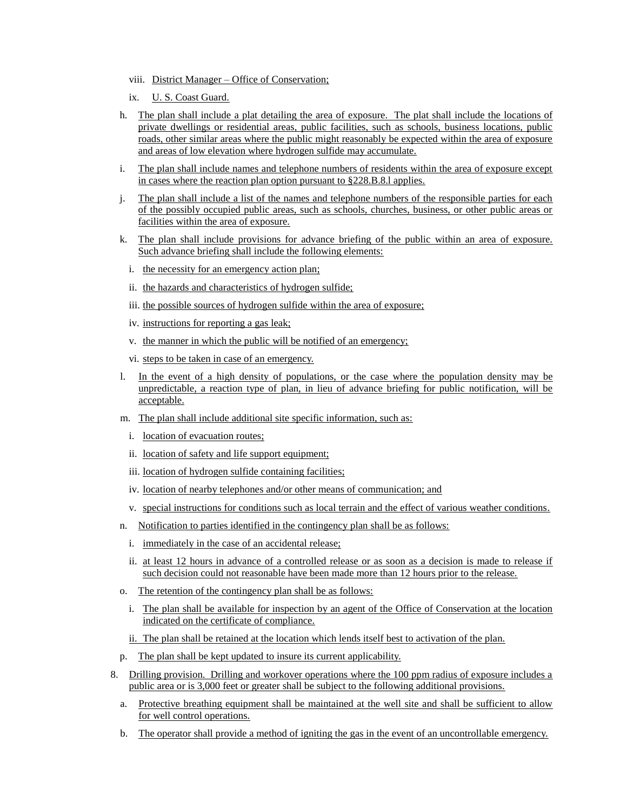- viii. District Manager Office of Conservation;
- ix. U. S. Coast Guard.
- h. The plan shall include a plat detailing the area of exposure. The plat shall include the locations of private dwellings or residential areas, public facilities, such as schools, business locations, public roads, other similar areas where the public might reasonably be expected within the area of exposure and areas of low elevation where hydrogen sulfide may accumulate.
- i. The plan shall include names and telephone numbers of residents within the area of exposure except in cases where the reaction plan option pursuant to §228.B.8.l applies.
- j. The plan shall include a list of the names and telephone numbers of the responsible parties for each of the possibly occupied public areas, such as schools, churches, business, or other public areas or facilities within the area of exposure.
- k. The plan shall include provisions for advance briefing of the public within an area of exposure. Such advance briefing shall include the following elements:
	- i. the necessity for an emergency action plan;
	- ii. the hazards and characteristics of hydrogen sulfide;
	- iii. the possible sources of hydrogen sulfide within the area of exposure;
	- iv. instructions for reporting a gas leak;
	- v. the manner in which the public will be notified of an emergency;
	- vi. steps to be taken in case of an emergency.
- l. In the event of a high density of populations, or the case where the population density may be unpredictable, a reaction type of plan, in lieu of advance briefing for public notification, will be acceptable.
- m. The plan shall include additional site specific information, such as:
	- i. location of evacuation routes;
	- ii. location of safety and life support equipment;
	- iii. location of hydrogen sulfide containing facilities;
	- iv. location of nearby telephones and/or other means of communication; and
	- v. special instructions for conditions such as local terrain and the effect of various weather conditions.
- n. Notification to parties identified in the contingency plan shall be as follows:
	- i. immediately in the case of an accidental release;
	- ii. at least 12 hours in advance of a controlled release or as soon as a decision is made to release if such decision could not reasonable have been made more than 12 hours prior to the release.
- o. The retention of the contingency plan shall be as follows:
	- i. The plan shall be available for inspection by an agent of the Office of Conservation at the location indicated on the certificate of compliance.
	- ii. The plan shall be retained at the location which lends itself best to activation of the plan.
- p. The plan shall be kept updated to insure its current applicability.
- 8. Drilling provision. Drilling and workover operations where the 100 ppm radius of exposure includes a public area or is 3,000 feet or greater shall be subject to the following additional provisions.
	- a. Protective breathing equipment shall be maintained at the well site and shall be sufficient to allow for well control operations.
	- b. The operator shall provide a method of igniting the gas in the event of an uncontrollable emergency.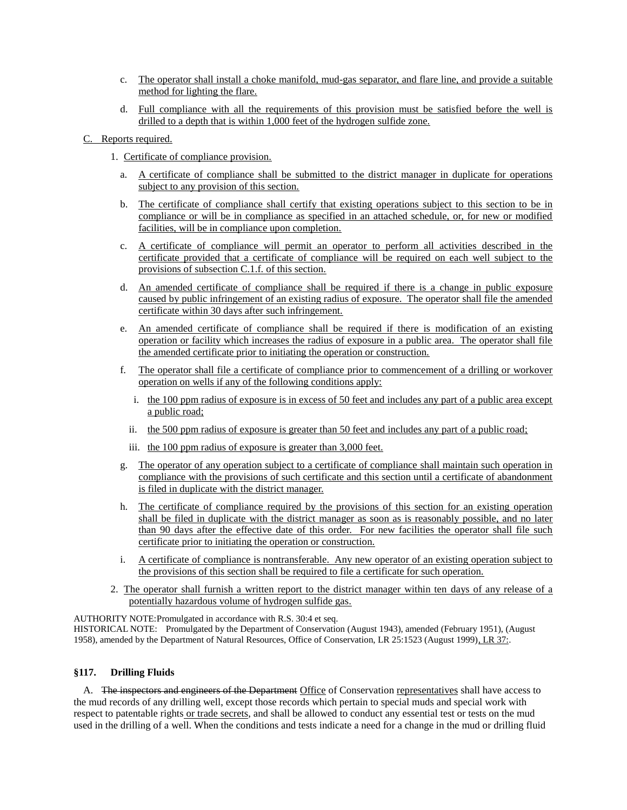- c. The operator shall install a choke manifold, mud-gas separator, and flare line, and provide a suitable method for lighting the flare.
- d. Full compliance with all the requirements of this provision must be satisfied before the well is drilled to a depth that is within 1,000 feet of the hydrogen sulfide zone.
- C. Reports required.
	- 1. Certificate of compliance provision.
		- a. A certificate of compliance shall be submitted to the district manager in duplicate for operations subject to any provision of this section.
		- b. The certificate of compliance shall certify that existing operations subject to this section to be in compliance or will be in compliance as specified in an attached schedule, or, for new or modified facilities, will be in compliance upon completion.
		- c. A certificate of compliance will permit an operator to perform all activities described in the certificate provided that a certificate of compliance will be required on each well subject to the provisions of subsection C.1.f. of this section.
		- d. An amended certificate of compliance shall be required if there is a change in public exposure caused by public infringement of an existing radius of exposure. The operator shall file the amended certificate within 30 days after such infringement.
		- e. An amended certificate of compliance shall be required if there is modification of an existing operation or facility which increases the radius of exposure in a public area. The operator shall file the amended certificate prior to initiating the operation or construction.
		- f. The operator shall file a certificate of compliance prior to commencement of a drilling or workover operation on wells if any of the following conditions apply:
			- i. the 100 ppm radius of exposure is in excess of 50 feet and includes any part of a public area except a public road;
			- ii. the 500 ppm radius of exposure is greater than 50 feet and includes any part of a public road;
			- iii. the 100 ppm radius of exposure is greater than 3,000 feet.
		- g. The operator of any operation subject to a certificate of compliance shall maintain such operation in compliance with the provisions of such certificate and this section until a certificate of abandonment is filed in duplicate with the district manager.
		- h. The certificate of compliance required by the provisions of this section for an existing operation shall be filed in duplicate with the district manager as soon as is reasonably possible, and no later than 90 days after the effective date of this order. For new facilities the operator shall file such certificate prior to initiating the operation or construction.
		- i. A certificate of compliance is nontransferable. Any new operator of an existing operation subject to the provisions of this section shall be required to file a certificate for such operation.
	- 2. The operator shall furnish a written report to the district manager within ten days of any release of a potentially hazardous volume of hydrogen sulfide gas.

AUTHORITY NOTE:Promulgated in accordance with R.S. 30:4 et seq. HISTORICAL NOTE: Promulgated by the Department of Conservation (August 1943), amended (February 1951), (August 1958), amended by the Department of Natural Resources, Office of Conservation, LR 25:1523 (August 1999), LR 37:.

## **§117. Drilling Fluids**

A. The inspectors and engineers of the Department Office of Conservation representatives shall have access to the mud records of any drilling well, except those records which pertain to special muds and special work with respect to patentable rights or trade secrets, and shall be allowed to conduct any essential test or tests on the mud used in the drilling of a well. When the conditions and tests indicate a need for a change in the mud or drilling fluid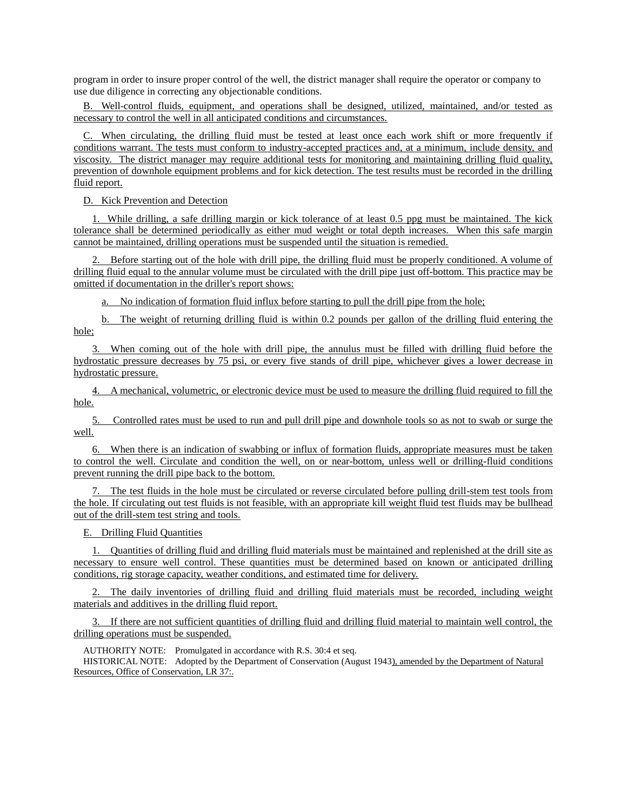program in order to insure proper control of the well, the district manager shall require the operator or company to use due diligence in correcting any objectionable conditions.

B. Well-control fluids, equipment, and operations shall be designed, utilized, maintained, and/or tested as necessary to control the well in all anticipated conditions and circumstances.

C. When circulating, the drilling fluid must be tested at least once each work shift or more frequently if conditions warrant. The tests must conform to industry-accepted practices and, at a minimum, include density, and viscosity. The district manager may require additional tests for monitoring and maintaining drilling fluid quality, prevention of downhole equipment problems and for kick detection. The test results must be recorded in the drilling fluid report.

D. Kick Prevention and Detection

1. While drilling, a safe drilling margin or kick tolerance of at least 0.5 ppg must be maintained. The kick tolerance shall be determined periodically as either mud weight or total depth increases. When this safe margin cannot be maintained, drilling operations must be suspended until the situation is remedied.

2. Before starting out of the hole with drill pipe, the drilling fluid must be properly conditioned. A volume of drilling fluid equal to the annular volume must be circulated with the drill pipe just off-bottom. This practice may be omitted if documentation in the driller's report shows:

a. No indication of formation fluid influx before starting to pull the drill pipe from the hole;

b. The weight of returning drilling fluid is within 0.2 pounds per gallon of the drilling fluid entering the hole;

3. When coming out of the hole with drill pipe, the annulus must be filled with drilling fluid before the hydrostatic pressure decreases by 75 psi, or every five stands of drill pipe, whichever gives a lower decrease in hydrostatic pressure.

4. A mechanical, volumetric, or electronic device must be used to measure the drilling fluid required to fill the hole.

5. Controlled rates must be used to run and pull drill pipe and downhole tools so as not to swab or surge the well.

6. When there is an indication of swabbing or influx of formation fluids, appropriate measures must be taken to control the well. Circulate and condition the well, on or near-bottom, unless well or drilling-fluid conditions prevent running the drill pipe back to the bottom.

The test fluids in the hole must be circulated or reverse circulated before pulling drill-stem test tools from the hole. If circulating out test fluids is not feasible, with an appropriate kill weight fluid test fluids may be bullhead out of the drill-stem test string and tools.

E. Drilling Fluid Quantities

1. Quantities of drilling fluid and drilling fluid materials must be maintained and replenished at the drill site as necessary to ensure well control. These quantities must be determined based on known or anticipated drilling conditions, rig storage capacity, weather conditions, and estimated time for delivery.

2. The daily inventories of drilling fluid and drilling fluid materials must be recorded, including weight materials and additives in the drilling fluid report.

3. If there are not sufficient quantities of drilling fluid and drilling fluid material to maintain well control, the drilling operations must be suspended.

AUTHORITY NOTE: Promulgated in accordance with R.S. 30:4 et seq.

HISTORICAL NOTE: Adopted by the Department of Conservation (August 1943), amended by the Department of Natural Resources, Office of Conservation, LR 37:.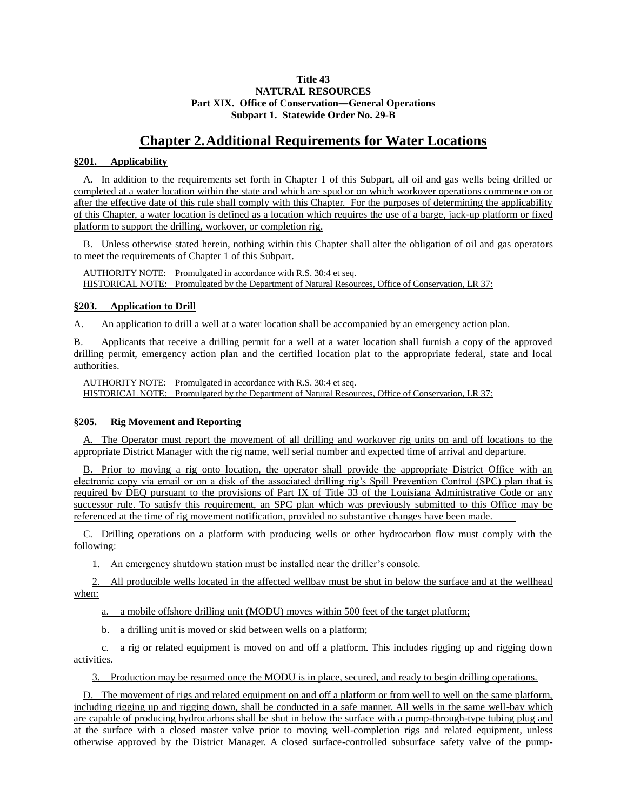### **Title 43 NATURAL RESOURCES Part XIX. Office of Conservation―General Operations Subpart 1. Statewide Order No. 29-B**

## **Chapter 2.Additional Requirements for Water Locations**

### **§201. Applicability**

A. In addition to the requirements set forth in Chapter 1 of this Subpart, all oil and gas wells being drilled or completed at a water location within the state and which are spud or on which workover operations commence on or after the effective date of this rule shall comply with this Chapter. For the purposes of determining the applicability of this Chapter, a water location is defined as a location which requires the use of a barge, jack-up platform or fixed platform to support the drilling, workover, or completion rig.

B. Unless otherwise stated herein, nothing within this Chapter shall alter the obligation of oil and gas operators to meet the requirements of Chapter 1 of this Subpart.

AUTHORITY NOTE: Promulgated in accordance with R.S. 30:4 et seq. HISTORICAL NOTE: Promulgated by the Department of Natural Resources, Office of Conservation, LR 37:

### **§203. Application to Drill**

A. An application to drill a well at a water location shall be accompanied by an emergency action plan.

B. Applicants that receive a drilling permit for a well at a water location shall furnish a copy of the approved drilling permit, emergency action plan and the certified location plat to the appropriate federal, state and local authorities.

AUTHORITY NOTE: Promulgated in accordance with R.S. 30:4 et seq. HISTORICAL NOTE: Promulgated by the Department of Natural Resources, Office of Conservation, LR 37:

## **§205. Rig Movement and Reporting**

A. The Operator must report the movement of all drilling and workover rig units on and off locations to the appropriate District Manager with the rig name, well serial number and expected time of arrival and departure.

B. Prior to moving a rig onto location, the operator shall provide the appropriate District Office with an electronic copy via email or on a disk of the associated drilling rig's Spill Prevention Control (SPC) plan that is required by DEQ pursuant to the provisions of Part IX of Title 33 of the Louisiana Administrative Code or any successor rule. To satisfy this requirement, an SPC plan which was previously submitted to this Office may be referenced at the time of rig movement notification, provided no substantive changes have been made.

C. Drilling operations on a platform with producing wells or other hydrocarbon flow must comply with the following:

1. An emergency shutdown station must be installed near the driller's console.

2. All producible wells located in the affected wellbay must be shut in below the surface and at the wellhead when:

a. a mobile offshore drilling unit (MODU) moves within 500 feet of the target platform;

b. a drilling unit is moved or skid between wells on a platform;

c. a rig or related equipment is moved on and off a platform. This includes rigging up and rigging down activities.

3. Production may be resumed once the MODU is in place, secured, and ready to begin drilling operations.

D. The movement of rigs and related equipment on and off a platform or from well to well on the same platform, including rigging up and rigging down, shall be conducted in a safe manner. All wells in the same well-bay which are capable of producing hydrocarbons shall be shut in below the surface with a pump-through-type tubing plug and at the surface with a closed master valve prior to moving well-completion rigs and related equipment, unless otherwise approved by the District Manager. A closed surface-controlled subsurface safety valve of the pump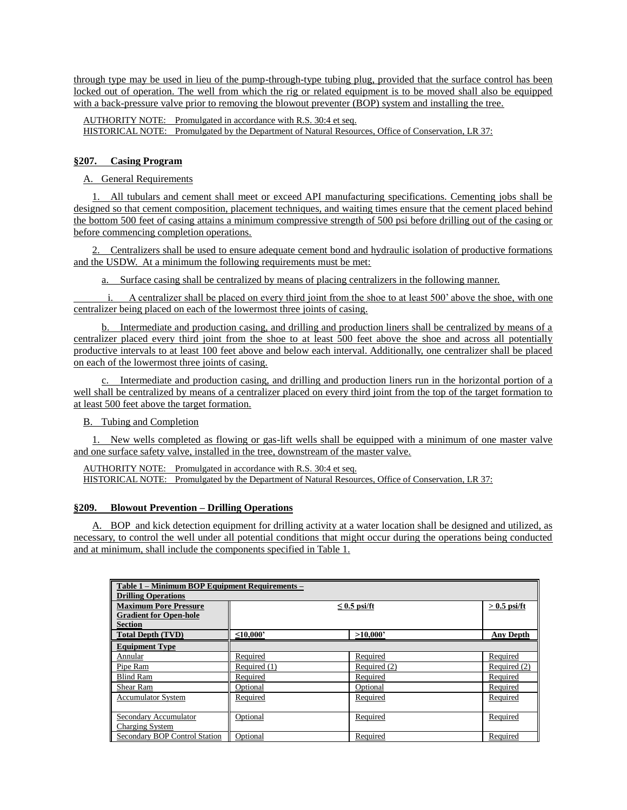through type may be used in lieu of the pump-through-type tubing plug, provided that the surface control has been locked out of operation. The well from which the rig or related equipment is to be moved shall also be equipped with a back-pressure valve prior to removing the blowout preventer (BOP) system and installing the tree.

AUTHORITY NOTE: Promulgated in accordance with R.S. 30:4 et seq. HISTORICAL NOTE: Promulgated by the Department of Natural Resources, Office of Conservation, LR 37:

## **§207. Casing Program**

A. General Requirements

1. All tubulars and cement shall meet or exceed API manufacturing specifications. Cementing jobs shall be designed so that cement composition, placement techniques, and waiting times ensure that the cement placed behind the bottom 500 feet of casing attains a minimum compressive strength of 500 psi before drilling out of the casing or before commencing completion operations.

2. Centralizers shall be used to ensure adequate cement bond and hydraulic isolation of productive formations and the USDW. At a minimum the following requirements must be met:

a. Surface casing shall be centralized by means of placing centralizers in the following manner.

i. A centralizer shall be placed on every third joint from the shoe to at least 500' above the shoe, with one centralizer being placed on each of the lowermost three joints of casing.

b. Intermediate and production casing, and drilling and production liners shall be centralized by means of a centralizer placed every third joint from the shoe to at least 500 feet above the shoe and across all potentially productive intervals to at least 100 feet above and below each interval. Additionally, one centralizer shall be placed on each of the lowermost three joints of casing.

c. Intermediate and production casing, and drilling and production liners run in the horizontal portion of a well shall be centralized by means of a centralizer placed on every third joint from the top of the target formation to at least 500 feet above the target formation.

B. Tubing and Completion

1. New wells completed as flowing or gas-lift wells shall be equipped with a minimum of one master valve and one surface safety valve, installed in the tree, downstream of the master valve.

AUTHORITY NOTE: Promulgated in accordance with R.S. 30:4 et seq. HISTORICAL NOTE: Promulgated by the Department of Natural Resources, Office of Conservation, LR 37:

### **§209. Blowout Prevention – Drilling Operations**

A. BOP and kick detection equipment for drilling activity at a water location shall be designed and utilized, as necessary, to control the well under all potential conditions that might occur during the operations being conducted and at minimum, shall include the components specified in Table 1.

| Table 1 – Minimum BOP Equipment Requirements –<br><b>Drilling Operations</b> |                                     |              |                  |  |
|------------------------------------------------------------------------------|-------------------------------------|--------------|------------------|--|
| <b>Maximum Pore Pressure</b><br><b>Gradient for Open-hole</b>                | $> 0.5$ psi/ft<br>$\leq$ 0.5 psi/ft |              |                  |  |
| <b>Section</b>                                                               |                                     |              |                  |  |
| <b>Total Depth (TVD)</b>                                                     | $\leq 10.000$                       | >10,000      | <b>Any Depth</b> |  |
| <b>Equipment Type</b>                                                        |                                     |              |                  |  |
| Annular                                                                      | Required                            | Required     | Required         |  |
| Pipe Ram                                                                     | Required (1)                        | Required (2) | Required (2)     |  |
| <b>Blind Ram</b>                                                             | Required                            | Required     | Required         |  |
| Shear Ram                                                                    | Optional                            | Optional     | Required         |  |
| <b>Accumulator System</b>                                                    | Required                            | Required     | Required         |  |
| Secondary Accumulator<br>Charging System                                     | Optional                            | Required     | Required         |  |
| Secondary BOP Control Station                                                | Optional                            | Required     | Required         |  |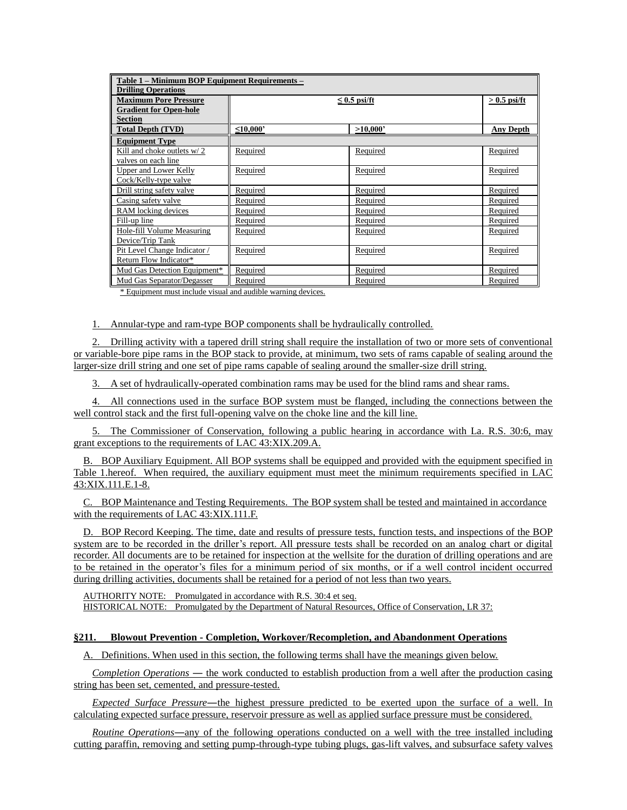| Table 1 - Minimum BOP Equipment Requirements -<br><b>Drilling Operations</b>         |                                  |                |                  |  |
|--------------------------------------------------------------------------------------|----------------------------------|----------------|------------------|--|
| <b>Maximum Pore Pressure</b><br><b>Gradient for Open-hole</b><br><b>Section</b>      |                                  | $> 0.5$ psi/ft |                  |  |
| <b>Total Depth (TVD)</b>                                                             | $\leq 10,000$                    | >10,000        | <b>Any Depth</b> |  |
| <b>Equipment Type</b>                                                                |                                  |                |                  |  |
| Kill and choke outlets w/2<br>valves on each line                                    | Required                         | Required       | Required         |  |
| <b>Upper and Lower Kelly</b><br>Cock/Kelly-type valve                                | Required                         | Required       | Required         |  |
| Drill string safety valve                                                            | Required                         | Required       | Required         |  |
| Casing safety valve                                                                  | Required                         | Required       | Required         |  |
| RAM locking devices                                                                  | Required                         | Required       | Required         |  |
| Fill-up line                                                                         | Required                         | Required       | Required         |  |
| Hole-fill Volume Measuring<br>Device/Trip Tank                                       | Required                         | Required       | Required         |  |
| Pit Level Change Indicator /<br>Return Flow Indicator*                               | Required                         | Required       | Required         |  |
| Mud Gas Detection Equipment*                                                         | Required                         | Required       | Required         |  |
| Mud Gas Separator/Degasser<br>$\cdot$ $\cdot$ $\cdot$<br>$\sim$ $\sim$ $\sim$ $\sim$ | Required<br>$\sim$ $\sim$ $\sim$ | Required       | Required         |  |

\* Equipment must include visual and audible warning devices.

1. Annular-type and ram-type BOP components shall be hydraulically controlled.

2. Drilling activity with a tapered drill string shall require the installation of two or more sets of conventional or variable-bore pipe rams in the BOP stack to provide, at minimum, two sets of rams capable of sealing around the larger-size drill string and one set of pipe rams capable of sealing around the smaller-size drill string.

3. A set of hydraulically-operated combination rams may be used for the blind rams and shear rams.

4. All connections used in the surface BOP system must be flanged, including the connections between the well control stack and the first full-opening valve on the choke line and the kill line.

5. The Commissioner of Conservation, following a public hearing in accordance with La. R.S. 30:6, may grant exceptions to the requirements of LAC 43:XIX.209.A.

B. BOP Auxiliary Equipment. All BOP systems shall be equipped and provided with the equipment specified in Table 1.hereof. When required, the auxiliary equipment must meet the minimum requirements specified in LAC 43:XIX.111.E.1-8.

C. BOP Maintenance and Testing Requirements. The BOP system shall be tested and maintained in accordance with the requirements of LAC 43:XIX.111.F.

D. BOP Record Keeping. The time, date and results of pressure tests, function tests, and inspections of the BOP system are to be recorded in the driller's report. All pressure tests shall be recorded on an analog chart or digital recorder. All documents are to be retained for inspection at the wellsite for the duration of drilling operations and are to be retained in the operator's files for a minimum period of six months, or if a well control incident occurred during drilling activities, documents shall be retained for a period of not less than two years.

AUTHORITY NOTE: Promulgated in accordance with R.S. 30:4 et seq. HISTORICAL NOTE: Promulgated by the Department of Natural Resources, Office of Conservation, LR 37:

### **§211. Blowout Prevention - Completion, Workover/Recompletion, and Abandonment Operations**

A. Definitions. When used in this section, the following terms shall have the meanings given below.

*Completion Operations* ― the work conducted to establish production from a well after the production casing string has been set, cemented, and pressure-tested.

*Expected Surface Pressure*―the highest pressure predicted to be exerted upon the surface of a well. In calculating expected surface pressure, reservoir pressure as well as applied surface pressure must be considered.

*Routine Operations*―any of the following operations conducted on a well with the tree installed including cutting paraffin, removing and setting pump-through-type tubing plugs, gas-lift valves, and subsurface safety valves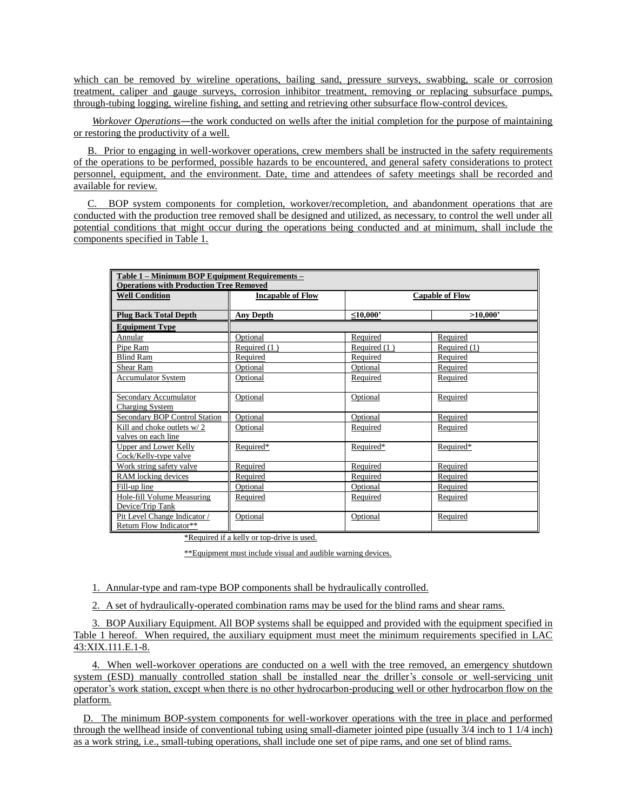which can be removed by wireline operations, bailing sand, pressure surveys, swabbing, scale or corrosion treatment, caliper and gauge surveys, corrosion inhibitor treatment, removing or replacing subsurface pumps, through-tubing logging, wireline fishing, and setting and retrieving other subsurface flow-control devices.

*Workover Operations*―the work conducted on wells after the initial completion for the purpose of maintaining or restoring the productivity of a well.

B. Prior to engaging in well-workover operations, crew members shall be instructed in the safety requirements of the operations to be performed, possible hazards to be encountered, and general safety considerations to protect personnel, equipment, and the environment. Date, time and attendees of safety meetings shall be recorded and available for review.

BOP system components for completion, workover/recompletion, and abandonment operations that are conducted with the production tree removed shall be designed and utilized, as necessary, to control the well under all potential conditions that might occur during the operations being conducted and at minimum, shall include the components specified in Table 1.

| Table 1 - Minimum BOP Equipment Requirements -<br><b>Operations with Production Tree Removed</b> |                          |                        |              |  |
|--------------------------------------------------------------------------------------------------|--------------------------|------------------------|--------------|--|
| <b>Well Condition</b>                                                                            | <b>Incapable of Flow</b> | <b>Capable of Flow</b> |              |  |
| <b>Plug Back Total Depth</b>                                                                     | <b>Any Depth</b>         | $\leq 10,000$          | >10,000'     |  |
| <b>Equipment Type</b>                                                                            |                          |                        |              |  |
| Annular                                                                                          | Optional                 | Required               | Required     |  |
| Pipe Ram                                                                                         | Required (1)             | Required (1)           | Required (1) |  |
| <b>Blind Ram</b>                                                                                 | Required                 | Required               | Required     |  |
| Shear Ram                                                                                        | Optional                 | Optional               | Required     |  |
| <b>Accumulator System</b>                                                                        | Optional                 | Required               | Required     |  |
| Secondary Accumulator<br><b>Charging System</b>                                                  | Optional                 | Optional               | Required     |  |
| Secondary BOP Control Station                                                                    | Optional                 | Optional               | Required     |  |
| Kill and choke outlets w/2<br>valves on each line                                                | Optional                 | Required               | Required     |  |
| Upper and Lower Kelly<br>Cock/Kelly-type valve                                                   | Required*                | Required*              | Required*    |  |
| Work string safety valve                                                                         | Required                 | Required               | Required     |  |
| RAM locking devices                                                                              | Required                 | Required               | Required     |  |
| Fill-up line                                                                                     | Optional                 | Optional               | Required     |  |
| Hole-fill Volume Measuring<br>Device/Trip Tank                                                   | Required                 | Required               | Required     |  |
| Pit Level Change Indicator /<br>Return Flow Indicator**                                          | Optional                 | Optional               | Required     |  |

\*Required if a kelly or top-drive is used.

\*\*Equipment must include visual and audible warning devices.

1. Annular-type and ram-type BOP components shall be hydraulically controlled.

2. A set of hydraulically-operated combination rams may be used for the blind rams and shear rams.

3. BOP Auxiliary Equipment. All BOP systems shall be equipped and provided with the equipment specified in Table 1 hereof. When required, the auxiliary equipment must meet the minimum requirements specified in LAC 43:XIX.111.E.1-8.

4. When well-workover operations are conducted on a well with the tree removed, an emergency shutdown system (ESD) manually controlled station shall be installed near the driller's console or well-servicing unit operator's work station, except when there is no other hydrocarbon-producing well or other hydrocarbon flow on the platform.

D. The minimum BOP-system components for well-workover operations with the tree in place and performed through the wellhead inside of conventional tubing using small-diameter jointed pipe (usually 3/4 inch to 1 1/4 inch) as a work string, i.e., small-tubing operations, shall include one set of pipe rams, and one set of blind rams.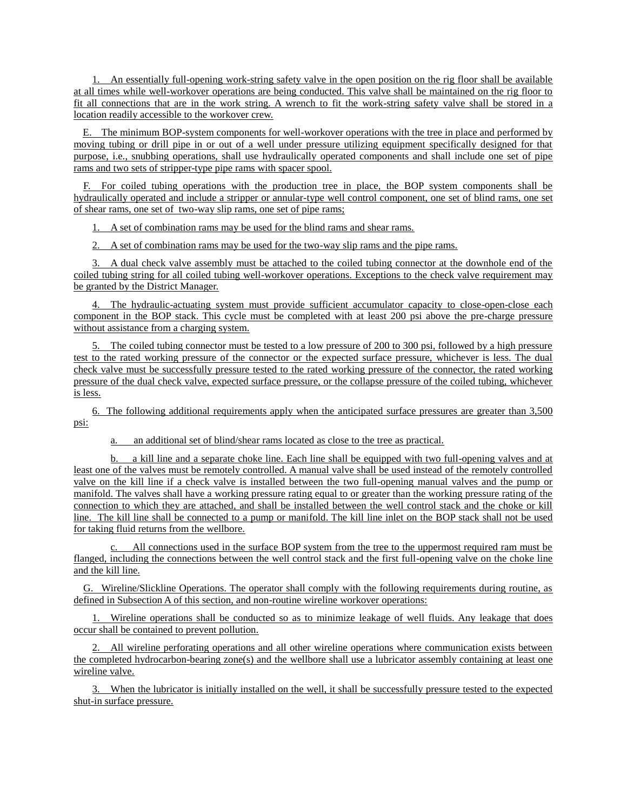1. An essentially full-opening work-string safety valve in the open position on the rig floor shall be available at all times while well-workover operations are being conducted. This valve shall be maintained on the rig floor to fit all connections that are in the work string. A wrench to fit the work-string safety valve shall be stored in a location readily accessible to the workover crew.

E. The minimum BOP-system components for well-workover operations with the tree in place and performed by moving tubing or drill pipe in or out of a well under pressure utilizing equipment specifically designed for that purpose, i.e., snubbing operations, shall use hydraulically operated components and shall include one set of pipe rams and two sets of stripper-type pipe rams with spacer spool.

F. For coiled tubing operations with the production tree in place, the BOP system components shall be hydraulically operated and include a stripper or annular-type well control component, one set of blind rams, one set of shear rams, one set of two-way slip rams, one set of pipe rams;

1. A set of combination rams may be used for the blind rams and shear rams.

2. A set of combination rams may be used for the two-way slip rams and the pipe rams.

3. A dual check valve assembly must be attached to the coiled tubing connector at the downhole end of the coiled tubing string for all coiled tubing well-workover operations. Exceptions to the check valve requirement may be granted by the District Manager.

4. The hydraulic-actuating system must provide sufficient accumulator capacity to close-open-close each component in the BOP stack. This cycle must be completed with at least 200 psi above the pre-charge pressure without assistance from a charging system.

5. The coiled tubing connector must be tested to a low pressure of 200 to 300 psi, followed by a high pressure test to the rated working pressure of the connector or the expected surface pressure, whichever is less. The dual check valve must be successfully pressure tested to the rated working pressure of the connector, the rated working pressure of the dual check valve, expected surface pressure, or the collapse pressure of the coiled tubing, whichever is less.

6. The following additional requirements apply when the anticipated surface pressures are greater than 3,500 psi:

a. an additional set of blind/shear rams located as close to the tree as practical.

b. a kill line and a separate choke line. Each line shall be equipped with two full-opening valves and at least one of the valves must be remotely controlled. A manual valve shall be used instead of the remotely controlled valve on the kill line if a check valve is installed between the two full-opening manual valves and the pump or manifold. The valves shall have a working pressure rating equal to or greater than the working pressure rating of the connection to which they are attached, and shall be installed between the well control stack and the choke or kill line. The kill line shall be connected to a pump or manifold. The kill line inlet on the BOP stack shall not be used for taking fluid returns from the wellbore.

c. All connections used in the surface BOP system from the tree to the uppermost required ram must be flanged, including the connections between the well control stack and the first full-opening valve on the choke line and the kill line.

G. Wireline/Slickline Operations. The operator shall comply with the following requirements during routine, as defined in Subsection A of this section, and non-routine wireline workover operations:

Wireline operations shall be conducted so as to minimize leakage of well fluids. Any leakage that does occur shall be contained to prevent pollution.

2. All wireline perforating operations and all other wireline operations where communication exists between the completed hydrocarbon-bearing zone(s) and the wellbore shall use a lubricator assembly containing at least one wireline valve.

3. When the lubricator is initially installed on the well, it shall be successfully pressure tested to the expected shut-in surface pressure.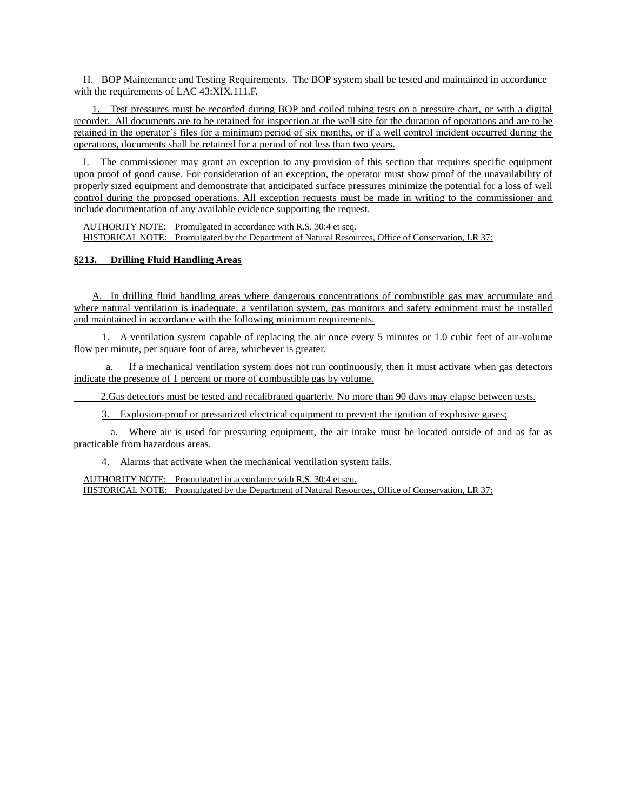H. BOP Maintenance and Testing Requirements. The BOP system shall be tested and maintained in accordance with the requirements of LAC 43:XIX.111.F.

1. Test pressures must be recorded during BOP and coiled tubing tests on a pressure chart, or with a digital recorder. All documents are to be retained for inspection at the well site for the duration of operations and are to be retained in the operator's files for a minimum period of six months, or if a well control incident occurred during the operations, documents shall be retained for a period of not less than two years.

I. The commissioner may grant an exception to any provision of this section that requires specific equipment upon proof of good cause. For consideration of an exception, the operator must show proof of the unavailability of properly sized equipment and demonstrate that anticipated surface pressures minimize the potential for a loss of well control during the proposed operations. All exception requests must be made in writing to the commissioner and include documentation of any available evidence supporting the request.

AUTHORITY NOTE: Promulgated in accordance with R.S. 30:4 et seq. HISTORICAL NOTE: Promulgated by the Department of Natural Resources, Office of Conservation, LR 37:

### **§213. Drilling Fluid Handling Areas**

A. In drilling fluid handling areas where dangerous concentrations of combustible gas may accumulate and where natural ventilation is inadequate, a ventilation system, gas monitors and safety equipment must be installed and maintained in accordance with the following minimum requirements.

1. A ventilation system capable of replacing the air once every 5 minutes or 1.0 cubic feet of air-volume flow per minute, per square foot of area, whichever is greater.

If a mechanical ventilation system does not run continuously, then it must activate when gas detectors indicate the presence of 1 percent or more of combustible gas by volume.

2.Gas detectors must be tested and recalibrated quarterly. No more than 90 days may elapse between tests.

3. Explosion-proof or pressurized electrical equipment to prevent the ignition of explosive gases;

a. Where air is used for pressuring equipment, the air intake must be located outside of and as far as practicable from hazardous areas.

4. Alarms that activate when the mechanical ventilation system fails.

AUTHORITY NOTE: Promulgated in accordance with R.S. 30:4 et seq. HISTORICAL NOTE: Promulgated by the Department of Natural Resources, Office of Conservation, LR 37: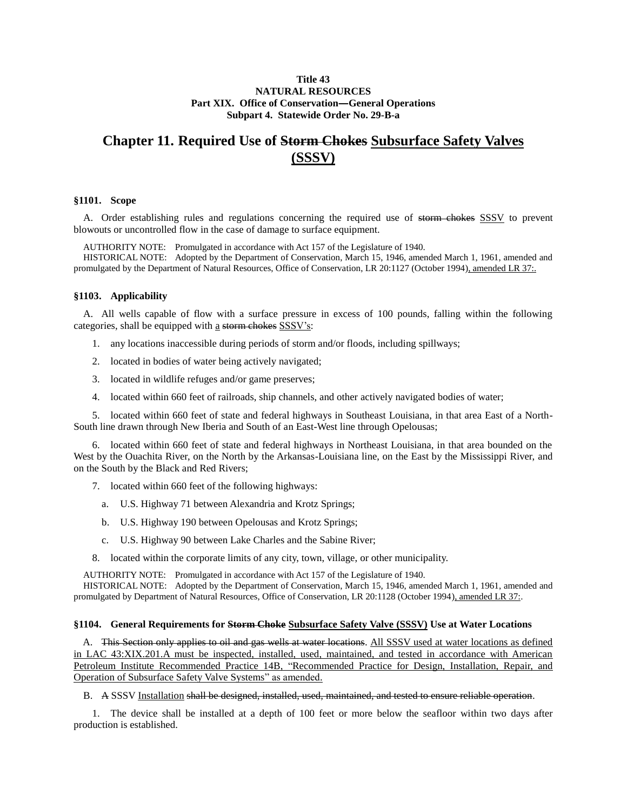### **Title 43 NATURAL RESOURCES Part XIX. Office of Conservation―General Operations Subpart 4. Statewide Order No. 29-B-a**

# **Chapter 11. Required Use of Storm Chokes Subsurface Safety Valves (SSSV)**

### **§1101. Scope**

A. Order establishing rules and regulations concerning the required use of storm chokes SSSV to prevent blowouts or uncontrolled flow in the case of damage to surface equipment.

AUTHORITY NOTE: Promulgated in accordance with Act 157 of the Legislature of 1940.

HISTORICAL NOTE: Adopted by the Department of Conservation, March 15, 1946, amended March 1, 1961, amended and promulgated by the Department of Natural Resources, Office of Conservation, LR 20:1127 (October 1994), amended LR 37:.

### **§1103. Applicability**

A. All wells capable of flow with a surface pressure in excess of 100 pounds, falling within the following categories, shall be equipped with a storm chokes SSSV's:

- 1. any locations inaccessible during periods of storm and/or floods, including spillways;
- 2. located in bodies of water being actively navigated;
- 3. located in wildlife refuges and/or game preserves;
- 4. located within 660 feet of railroads, ship channels, and other actively navigated bodies of water;

5. located within 660 feet of state and federal highways in Southeast Louisiana, in that area East of a North-South line drawn through New Iberia and South of an East-West line through Opelousas;

6. located within 660 feet of state and federal highways in Northeast Louisiana, in that area bounded on the West by the Ouachita River, on the North by the Arkansas-Louisiana line, on the East by the Mississippi River, and on the South by the Black and Red Rivers;

- 7. located within 660 feet of the following highways:
	- a. U.S. Highway 71 between Alexandria and Krotz Springs;
	- b. U.S. Highway 190 between Opelousas and Krotz Springs;
	- c. U.S. Highway 90 between Lake Charles and the Sabine River;
- 8. located within the corporate limits of any city, town, village, or other municipality.

AUTHORITY NOTE: Promulgated in accordance with Act 157 of the Legislature of 1940.

HISTORICAL NOTE: Adopted by the Department of Conservation, March 15, 1946, amended March 1, 1961, amended and promulgated by Department of Natural Resources, Office of Conservation, LR 20:1128 (October 1994), amended LR 37:.

### **§1104. General Requirements for Storm Choke Subsurface Safety Valve (SSSV) Use at Water Locations**

A. This Section only applies to oil and gas wells at water locations. All SSSV used at water locations as defined in LAC 43:XIX.201.A must be inspected, installed, used, maintained, and tested in accordance with American Petroleum Institute Recommended Practice 14B, "Recommended Practice for Design, Installation, Repair, and Operation of Subsurface Safety Valve Systems" as amended.

B. A SSSV Installation shall be designed, installed, used, maintained, and tested to ensure reliable operation.

1. The device shall be installed at a depth of 100 feet or more below the seafloor within two days after production is established.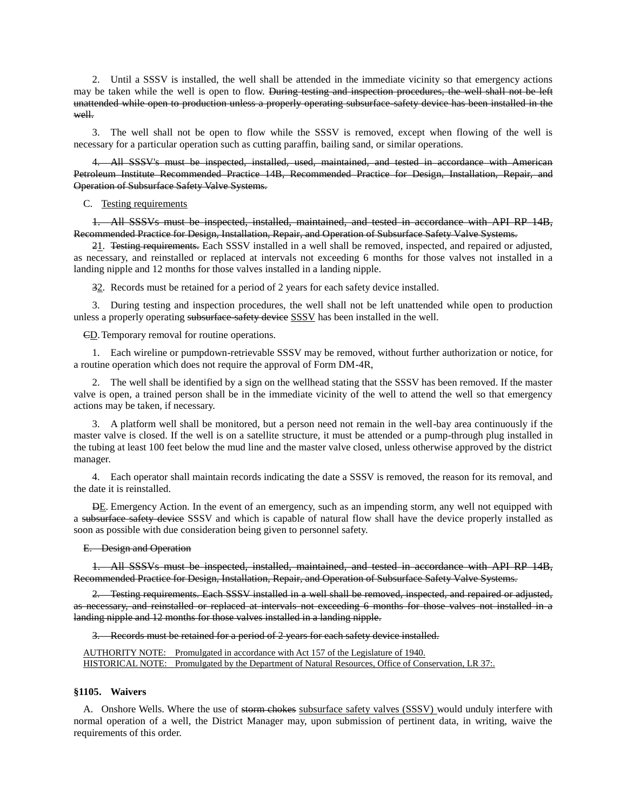2. Until a SSSV is installed, the well shall be attended in the immediate vicinity so that emergency actions may be taken while the well is open to flow. <del>During testing and inspection procedures, the well shall not be left</del> unattended while open to production unless a properly operating subsurface-safety device has been installed in the well.

3. The well shall not be open to flow while the SSSV is removed, except when flowing of the well is necessary for a particular operation such as cutting paraffin, bailing sand, or similar operations.

All SSSV's must be inspected, installed, used, maintained, and tested in accordance with American Petroleum Institute Recommended Practice 14B, Recommended Practice for Design, Installation, Repair, and Operation of Subsurface Safety Valve Systems.

### C. Testing requirements

1. All SSSVs must be inspected, installed, maintained, and tested in accordance with API RP 14B, Recommended Practice for Design, Installation, Repair, and Operation of Subsurface Safety Valve Systems.

21. Testing requirements. Each SSSV installed in a well shall be removed, inspected, and repaired or adjusted, as necessary, and reinstalled or replaced at intervals not exceeding 6 months for those valves not installed in a landing nipple and 12 months for those valves installed in a landing nipple.

 $\frac{32}{2}$ . Records must be retained for a period of 2 years for each safety device installed.

3. During testing and inspection procedures, the well shall not be left unattended while open to production unless a properly operating subsurface safety device SSSV has been installed in the well.

CD.Temporary removal for routine operations.

1. Each wireline or pumpdown-retrievable SSSV may be removed, without further authorization or notice, for a routine operation which does not require the approval of Form DM-4R,

2. The well shall be identified by a sign on the wellhead stating that the SSSV has been removed. If the master valve is open, a trained person shall be in the immediate vicinity of the well to attend the well so that emergency actions may be taken, if necessary.

3. A platform well shall be monitored, but a person need not remain in the well-bay area continuously if the master valve is closed. If the well is on a satellite structure, it must be attended or a pump-through plug installed in the tubing at least 100 feet below the mud line and the master valve closed, unless otherwise approved by the district manager.

4. Each operator shall maintain records indicating the date a SSSV is removed, the reason for its removal, and the date it is reinstalled.

 $\overline{DE}$ . Emergency Action. In the event of an emergency, such as an impending storm, any well not equipped with a subsurface safety device SSSV and which is capable of natural flow shall have the device properly installed as soon as possible with due consideration being given to personnel safety.

E. Design and Operation

1. All SSSVs must be inspected, installed, maintained, and tested in accordance with API RP 14B, Recommended Practice for Design, Installation, Repair, and Operation of Subsurface Safety Valve Systems.

2. Testing requirements. Each SSSV installed in a well shall be removed, inspected, and repaired or adjusted, as necessary, and reinstalled or replaced at intervals not exceeding 6 months for those valves not installed in a landing nipple and 12 months for those valves installed in a landing nipple.

Records must be retained for a period of 2 years for each safety device installed.

AUTHORITY NOTE: Promulgated in accordance with Act 157 of the Legislature of 1940. HISTORICAL NOTE: Promulgated by the Department of Natural Resources, Office of Conservation, LR 37:.

### **§1105. Waivers**

A. Onshore Wells. Where the use of storm chokes subsurface safety valves (SSSV) would unduly interfere with normal operation of a well, the District Manager may, upon submission of pertinent data, in writing, waive the requirements of this order.